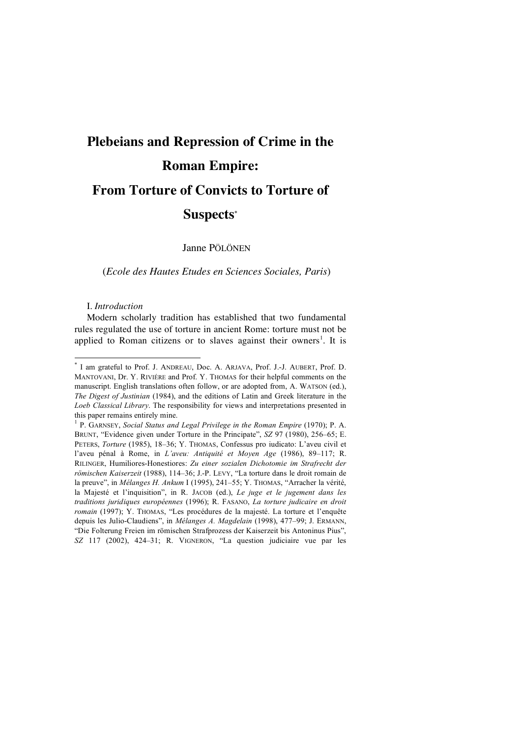# **Plebeians and Repression of Crime in the Roman Empire:**

# **From Torture of Convicts to Torture of**

# **Suspects\***

# Janne PÖLÖNEN

### (*Ecole des Hautes Etudes en Sciences Sociales, Paris*)

# I. *Introduction*

Modern scholarly tradition has established that two fundamental rules regulated the use of torture in ancient Rome: torture must not be applied to Roman citizens or to slaves against their owners<sup>1</sup>. It is

\* <sup>I</sup> am grateful to Prof. J. ANDREAU, Doc. A. ARJAVA, Prof. J.-J. AUBERT, Prof. D. MANTOVANI, Dr. Y. RIVIÉRE and Prof. Y. THOMAS for their helpful comments on the manuscript. English translations often follow, or are adopted from, A. WATSON (ed.), *The Digest of Justinian* (1984), and the editions of Latin and Greek literature in the *Loeb Classical Library*. The responsibility for views and interpretations presented in this paper remains entirely mine.

<sup>1</sup> P. GARNSEY, *Social Status and Legal Privilege in the Roman Empire* (1970); P. A. BRUNT, "Evidence given under Torture in the Principate", *SZ* 97 (1980), 256–65; E. PETERS, *Torture* (1985), 18–36; Y. THOMAS, Confessus pro iudicato: L'aveu civil et l'aveu pénal à Rome, in *L'aveu: Antiquité et Moyen Age* (1986), 89–117; R. RILINGER, Humiliores-Honestiores: *Zu einer sozialen Dichotomie im Strafrecht der römischen Kaiserzeit* (1988), 114–36; J.-P. LEVY, "La torture dans le droit romain de la preuve", in *Mélanges H. Ankum* I (1995), 241–55; Y. THOMAS, "Arracher la vérité, la Majesté et l'inquisition", in R. JACOB (ed.), *Le juge et le jugement dans les traditions juridiques européennes* (1996); R. FASANO, *La torture judicaire en droit romain* (1997); Y. THOMAS, "Les procédures de la majesté. La torture et l'enquête depuis les Julio-Claudiens", in *Mélanges A. Magdelain* (1998), 477–99; J. ERMANN, "Die Folterung Freien im römischen Strafprozess der Kaiserzeit bis Antoninus Pius", *SZ* 117 (2002), 424–31; R. VIGNERON, "La question judiciaire vue par les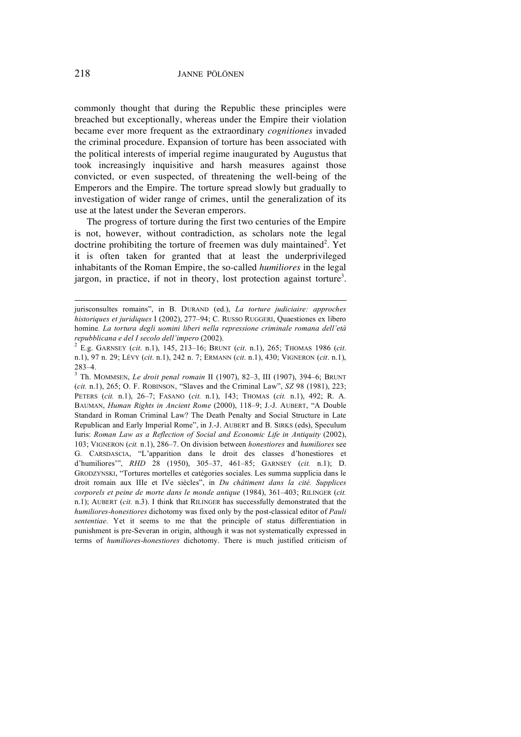commonly thought that during the Republic these principles were breached but exceptionally, whereas under the Empire their violation became ever more frequent as the extraordinary *cognitiones* invaded the criminal procedure. Expansion of torture has been associated with the political interests of imperial regime inaugurated by Augustus that took increasingly inquisitive and harsh measures against those convicted, or even suspected, of threatening the well-being of the Emperors and the Empire. The torture spread slowly but gradually to investigation of wider range of crimes, until the generalization of its use at the latest under the Severan emperors.

The progress of torture during the first two centuries of the Empire is not, however, without contradiction, as scholars note the legal doctrine prohibiting the torture of freemen was duly maintained<sup>2</sup>. Yet it is often taken for granted that at least the underprivileged inhabitants of the Roman Empire, the so-called *humiliores* in the legal jargon, in practice, if not in theory, lost protection against torture<sup>3</sup>.

<sup>3</sup> Th. MOMMSEN, *Le droit penal romain* II (1907), 82–3, III (1907), 394–6; BRUNT (*cit.* n.1), 265; O. F. ROBINSON, "Slaves and the Criminal Law", *SZ* 98 (1981), 223; PETERS (*cit.* n.1), 26–7; FASANO (*cit.* n.1), 143; THOMAS (*cit.* n.1), 492; R. A. BAUMAN, *Human Rights in Ancient Rome* (2000), 118–9; J.-J. AUBERT, "A Double Standard in Roman Criminal Law? The Death Penalty and Social Structure in Late Republican and Early Imperial Rome", in J.-J. AUBERT and B. SIRKS (eds), Speculum Iuris: *Roman Law as a Reflection of Social and Economic Life in Antiquity* (2002), 103; VIGNERON (*cit.* n.1), 286–7. On division between *honestiores* and *humiliores* see G. CARSDASCIA, "L'apparition dans le droit des classes d'honestiores et d'humiliores'", *RHD* 28 (1950), 305–37, 461–85; GARNSEY (*cit.* n.1); D. GRODZYNSKI, "Tortures mortelles et catégories sociales. Les summa supplicia dans le droit romain aux IIIe et IVe siècles", in *Du châtiment dans la cité. Supplices corporels et peine de morte dans le monde antique* (1984), 361–403; RILINGER (*cit.* n.1); AUBERT (*cit.* n.3). I think that RILINGER has successfully demonstrated that the *humiliores-honestiores* dichotomy was fixed only by the post-classical editor of *Pauli sententiae*. Yet it seems to me that the principle of status differentiation in punishment is pre-Severan in origin, although it was not systematically expressed in terms of *humiliores-honestiores* dichotomy. There is much justified criticism of

jurisconsultes romains", in B. DURAND (ed.), *La torture judiciaire: approches historiques et juridiques* I (2002), 277–94; C. RUSSO RUGGERI, Quaestiones ex libero homine*. La tortura degli uomini liberi nella repressione criminale romana dell'età repubblicana e del I secolo dell'impero* (2002).

<sup>2</sup> E.g. GARNSEY (*cit*. n.1), 145, 213–16; BRUNT (*cit*. n.1), 265; THOMAS 1986 (*cit*. n.1), 97 n. 29; LÉVY (*cit*. n.1), 242 n. 7; ERMANN (*cit*. n.1), 430; VIGNERON (*cit*. n.1), 283–4.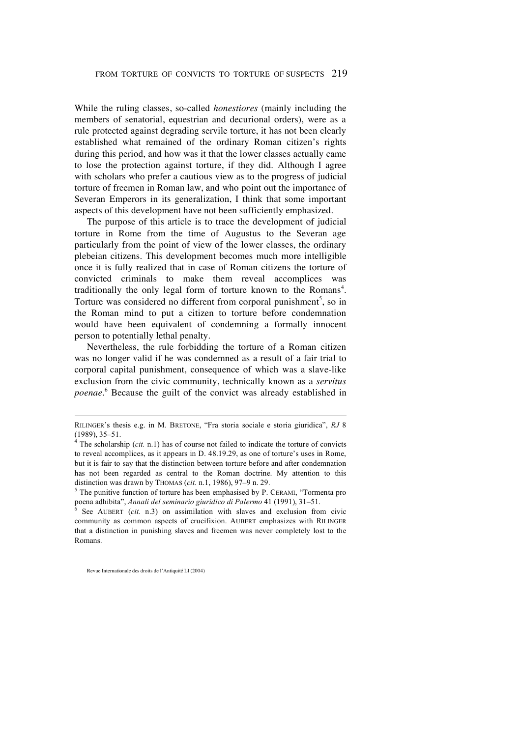While the ruling classes, so-called *honestiores* (mainly including the members of senatorial, equestrian and decurional orders), were as a rule protected against degrading servile torture, it has not been clearly established what remained of the ordinary Roman citizen's rights during this period, and how was it that the lower classes actually came to lose the protection against torture, if they did. Although I agree with scholars who prefer a cautious view as to the progress of judicial torture of freemen in Roman law, and who point out the importance of Severan Emperors in its generalization, I think that some important aspects of this development have not been sufficiently emphasized.

The purpose of this article is to trace the development of judicial torture in Rome from the time of Augustus to the Severan age particularly from the point of view of the lower classes, the ordinary plebeian citizens. This development becomes much more intelligible once it is fully realized that in case of Roman citizens the torture of convicted criminals to make them reveal accomplices was traditionally the only legal form of torture known to the Romans<sup>4</sup>. Torture was considered no different from corporal punishment<sup>5</sup>, so in the Roman mind to put a citizen to torture before condemnation would have been equivalent of condemning a formally innocent person to potentially lethal penalty.

Nevertheless, the rule forbidding the torture of a Roman citizen was no longer valid if he was condemned as a result of a fair trial to corporal capital punishment, consequence of which was a slave-like exclusion from the civic community, technically known as a *servitus poenae*. <sup>6</sup> Because the guilt of the convict was already established in

Revue Internationale des droits de l'Antiquité LI (2004)

RILINGER's thesis e.g. in M. BRETONE, "Fra storia sociale e storia giuridica", *RJ* 8 (1989), 35–51.

 $4$ <sup>4</sup> The scholarship (*cit.* n.1) has of course not failed to indicate the torture of convicts to reveal accomplices, as it appears in D. 48.19.29, as one of torture's uses in Rome, but it is fair to say that the distinction between torture before and after condemnation has not been regarded as central to the Roman doctrine. My attention to this distinction was drawn by THOMAS (*cit.* n.1, 1986), 97–9 n. 29.

 $5$  The punitive function of torture has been emphasised by P. CERAMI, "Tormenta pro poena adhibita", *Annali del seminario giuridico di Palermo* 41 (1991), 31–51.

See AUBERT (*cit.* n.3) on assimilation with slaves and exclusion from civic community as common aspects of crucifixion. AUBERT emphasizes with RILINGER that a distinction in punishing slaves and freemen was never completely lost to the Romans.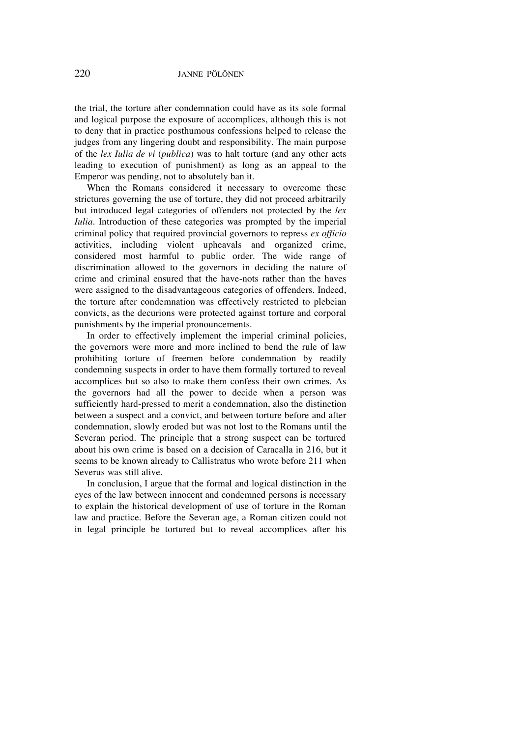the trial, the torture after condemnation could have as its sole formal and logical purpose the exposure of accomplices, although this is not to deny that in practice posthumous confessions helped to release the judges from any lingering doubt and responsibility. The main purpose of the *lex Iulia de vi* (*publica*) was to halt torture (and any other acts leading to execution of punishment) as long as an appeal to the Emperor was pending, not to absolutely ban it.

When the Romans considered it necessary to overcome these strictures governing the use of torture, they did not proceed arbitrarily but introduced legal categories of offenders not protected by the *lex Iulia*. Introduction of these categories was prompted by the imperial criminal policy that required provincial governors to repress *ex officio* activities, including violent upheavals and organized crime, considered most harmful to public order. The wide range of discrimination allowed to the governors in deciding the nature of crime and criminal ensured that the have-nots rather than the haves were assigned to the disadvantageous categories of offenders. Indeed, the torture after condemnation was effectively restricted to plebeian convicts, as the decurions were protected against torture and corporal punishments by the imperial pronouncements.

In order to effectively implement the imperial criminal policies, the governors were more and more inclined to bend the rule of law prohibiting torture of freemen before condemnation by readily condemning suspects in order to have them formally tortured to reveal accomplices but so also to make them confess their own crimes. As the governors had all the power to decide when a person was sufficiently hard-pressed to merit a condemnation, also the distinction between a suspect and a convict, and between torture before and after condemnation, slowly eroded but was not lost to the Romans until the Severan period. The principle that a strong suspect can be tortured about his own crime is based on a decision of Caracalla in 216, but it seems to be known already to Callistratus who wrote before 211 when Severus was still alive.

In conclusion, I argue that the formal and logical distinction in the eyes of the law between innocent and condemned persons is necessary to explain the historical development of use of torture in the Roman law and practice. Before the Severan age, a Roman citizen could not in legal principle be tortured but to reveal accomplices after his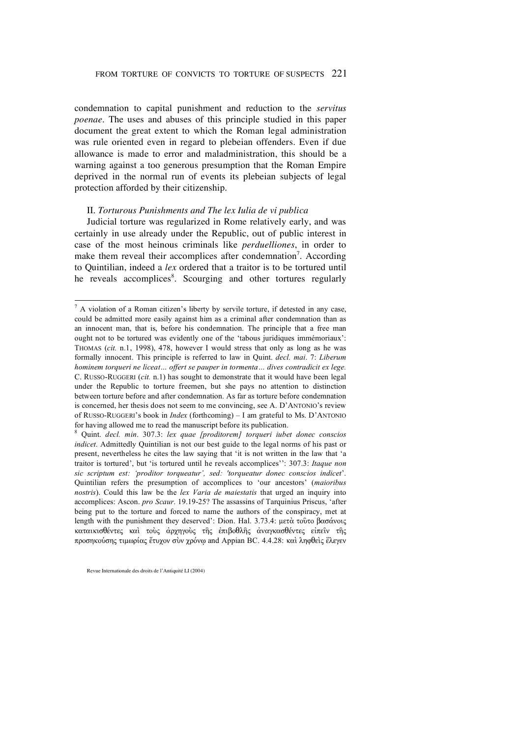condemnation to capital punishment and reduction to the *servitus poenae*. The uses and abuses of this principle studied in this paper document the great extent to which the Roman legal administration was rule oriented even in regard to plebeian offenders. Even if due allowance is made to error and maladministration, this should be a warning against a too generous presumption that the Roman Empire deprived in the normal run of events its plebeian subjects of legal protection afforded by their citizenship.

#### II. *Torturous Punishments and The lex Iulia de vi publica*

Judicial torture was regularized in Rome relatively early, and was certainly in use already under the Republic, out of public interest in case of the most heinous criminals like *perduelliones*, in order to make them reveal their accomplices after condemnation<sup>7</sup>. According to Quintilian, indeed a *lex* ordered that a traitor is to be tortured until he reveals accomplices<sup>8</sup>. Scourging and other tortures regularly

 $<sup>7</sup>$  A violation of a Roman citizen's liberty by servile torture, if detested in any case,</sup> could be admitted more easily against him as a criminal after condemnation than as an innocent man, that is, before his condemnation. The principle that a free man ought not to be tortured was evidently one of the 'tabous juridiques immémoriaux': THOMAS (*cit.* n.1, 1998), 478, however I would stress that only as long as he was formally innocent. This principle is referred to law in Quint. *decl. mai*. 7: *Liberum hominem torqueri ne liceat… offert se pauper in tormenta… dives contradicit ex lege.* C. RUSSO-RUGGERI (*cit.* n.1) has sought to demonstrate that it would have been legal under the Republic to torture freemen, but she pays no attention to distinction between torture before and after condemnation. As far as torture before condemnation is concerned, her thesis does not seem to me convincing, see A. D'ANTONIO's review of RUSSO-RUGGERI's book in *Index* (forthcoming) – I am grateful to Ms. D'ANTONIO for having allowed me to read the manuscript before its publication.

<sup>8</sup> Quint. *decl. min*. 307.3: *lex quae [proditorem] torqueri iubet donec conscios indicet*. Admittedly Quintilian is not our best guide to the legal norms of his past or present, nevertheless he cites the law saying that 'it is not written in the law that 'a traitor is tortured', but 'is tortured until he reveals accomplices'': 307.3: *Itaque non sic scriptum est: 'proditor torqueatur', sed: 'torqueatur donec conscios indicet*'. Quintilian refers the presumption of accomplices to 'our ancestors' (*maioribus nostris*). Could this law be the *lex Varia de maiestatis* that urged an inquiry into accomplices: Ascon. *pro Scaur*. 19.19-25? The assassins of Tarquinius Priscus, 'after being put to the torture and forced to name the authors of the conspiracy, met at length with the punishment they deserved': Dion. Hal. 3.73.4:  $\mu$ età τοῦτο βασάνοις καταικισθέντες καὶ τοὺς ἀργηγοὺς τῆς ἐπιβοθλῆς ἀναγκασθέντες εἰπεῖν τῆς  $\pi$ ροσηκούσης τιμωρίας έτυχον σὺν χρόνω and Appian BC. 4.4.28: καὶ ληφθεὶς έλεγεν

Revue Internationale des droits de l'Antiquité LI (2004)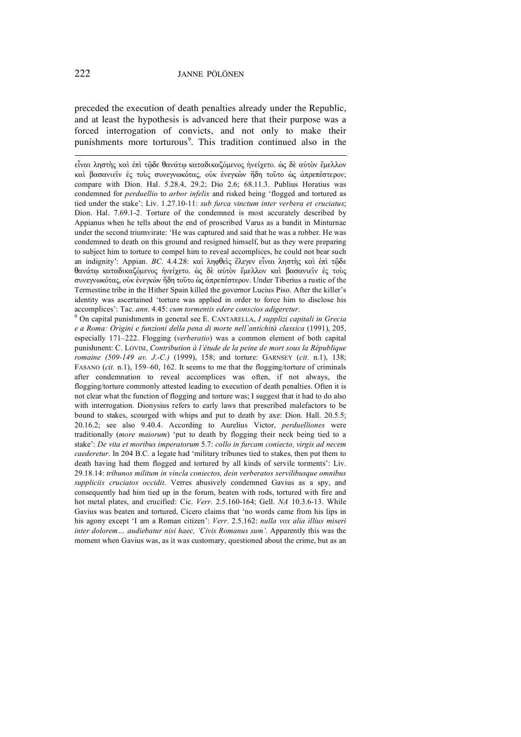preceded the execution of death penalties already under the Republic, and at least the hypothesis is advanced here that their purpose was a forced interrogation of convicts, and not only to make their punishments more torturous<sup>9</sup>. This tradition continued also in the

εἶναι ληστής καὶ ἐπὶ τῷδε θανάτω καταδικαζόμενος ἠνείχετο. ὡς δὲ αὐτὸν ἔμελλον καί βασανιεῖν ἐς τοὺς συνεγνωκότας, οὐκ ἐνεγκὼν ἤδη τοῦτο ὡς ἀπρεπέστερον; compare with Dion. Hal. 5.28.4, 29.2; Dio 2.6; 68.11.3. Publius Horatius was condemned for *perduellio* to *arbor infelix* and risked being 'flogged and tortured as tied under the stake': Liv. 1.27.10-11: *sub furca vinctum inter verbera et cruciatus*; Dion. Hal. 7.69.1-2. Torture of the condemned is most accurately described by Appianus when he tells about the end of proscribed Varus as a bandit in Minturnae under the second triumvirate: 'He was captured and said that he was a robber. He was condemned to death on this ground and resigned himself, but as they were preparing to subject him to torture to compel him to reveal accomplices, he could not bear such an indignity': Appian. *BC*. 4.4.28: και ληφθείς έλεγεν εἶναι ληστης και επι τώδε θανάτω καταδικαζόμενος ήνείχετο. ώς δε αὐτὸν ἔμελλον καὶ βασανιεῖν ἐς τοὺς συνεγνωκότας, οὐκ ἐνεγκὼν ἤδη τοῦτο ὡς ἀπρεπέστερον. Under Tiberius a rustic of the Termestine tribe in the Hither Spain killed the governor Lucius Piso. After the killer's identity was ascertained 'torture was applied in order to force him to disclose his accomplices': Tac. *ann*. 4.45: *cum tormentis edere conscios adigeretur*.

<sup>9</sup> On capital punishments in general see E. CANTARELLA, *I supplizi capitali in Grecia e a Roma: Origini e funzioni della pena di morte nell'antichità classica* (1991), 205, especially 171–222. Flogging (*verberatio*) was a common element of both capital punishment: C. LOVISI, *Contribution à l'étude de la peine de mort sous la République romaine (509-149 av. J.-C.)* (1999), 158; and torture: GARNSEY (*cit.* n.1), 138; FASANO (*cit.* n.1), 159–60, 162. It seems to me that the flogging/torture of criminals after condemnation to reveal accomplices was often, if not always, the flogging/torture commonly attested leading to execution of death penalties. Often it is not clear what the function of flogging and torture was; I suggest that it had to do also with interrogation. Dionysius refers to early laws that prescribed malefactors to be bound to stakes, scourged with whips and put to death by axe: Dion. Hall. 20.5.5; 20.16.2; see also 9.40.4. According to Aurelius Victor, *perduelliones* were traditionally (*more maiorum*) 'put to death by flogging their neck being tied to a stake': *De vita et moribus imperatorum* 5.7: *collo in furcam coniecto, virgis ad necem caederetur*. In 204 B.C. a legate had 'military tribunes tied to stakes, then put them to death having had them flogged and tortured by all kinds of servile torments': Liv. 29.18.14: *tribunos militum in vincla coniectos, dein verberatos servilibusque omnibus suppliciis cruciatos occidit*. Verres abusively condemned Gavius as a spy, and consequently had him tied up in the forum, beaten with rods, tortured with fire and hot metal plates, and crucified: Cic. *Verr*. 2.5.160-164; Gell. *NA* 10.3.6-13. While Gavius was beaten and tortured, Cicero claims that 'no words came from his lips in his agony except 'I am a Roman citizen': *Verr*. 2.5.162: *nulla vox alia illius miseri inter dolorem… audiebatur nisi haec, 'Civis Romanus sum'*. Apparently this was the moment when Gavius was, as it was customary, questioned about the crime, but as an

1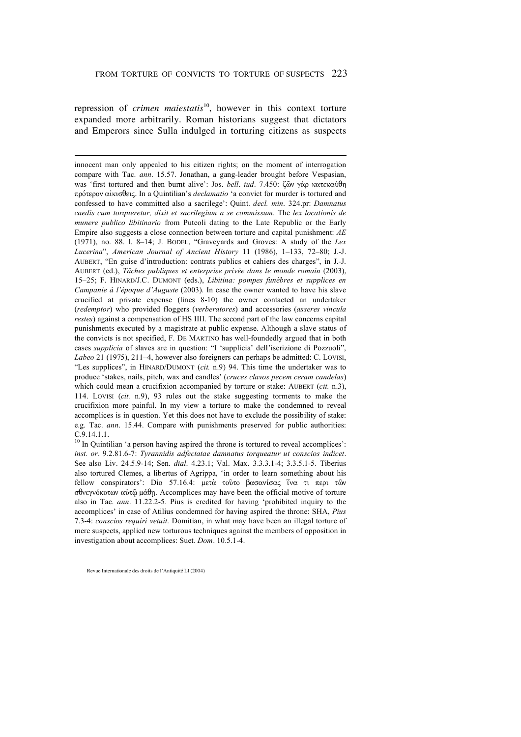repression of *crimen maiestatis* 10 , however in this context torture expanded more arbitrarily. Roman historians suggest that dictators and Emperors since Sulla indulged in torturing citizens as suspects

1

innocent man only appealed to his citizen rights; on the moment of interrogation compare with Tac. *ann*. 15.57. Jonathan, a gang-leader brought before Vespasian, was 'first tortured and then burnt alive': Jos. *bell. iud.* 7.450: ζῶν γὰρ κατεκαύθη πρότερον αίκισθεις. In a Quintilian's *declamatio* 'a convict for murder is tortured and confessed to have committed also a sacrilege': Quint. *decl. min*. 324.pr: *Damnatus caedis cum torqueretur, dixit et sacrilegium a se commissum*. The *lex locationis de munere publico libitinario* from Puteoli dating to the Late Republic or the Early Empire also suggests a close connection between torture and capital punishment: *AE* (1971), no. 88. l. 8–14; J. BODEL, "Graveyards and Groves: A study of the *Lex Lucerina*", *American Journal of Ancient History* 11 (1986), 1–133, 72–80; J.-J. AUBERT, "En guise d'introduction: contrats publics et cahiers des charges", in J.-J. AUBERT (ed.), *Tâches publiques et enterprise privée dans le monde romain* (2003), 15–25; F. HINARD/J.C. DUMONT (eds.), *Libitina: pompes funèbres et supplices en Campanie à l'époque d'Auguste* (2003). In case the owner wanted to have his slave crucified at private expense (lines 8-10) the owner contacted an undertaker (*redemptor*) who provided floggers (*verberatores*) and accessories (*asseres vincula restes*) against a compensation of HS IIII. The second part of the law concerns capital punishments executed by a magistrate at public expense. Although a slave status of the convicts is not specified, F. DE MARTINO has well-foundedly argued that in both cases *supplicia* of slaves are in question: "I 'supplicia' dell'iscrizione di Pozzuoli", *Labeo* 21 (1975), 211–4, however also foreigners can perhaps be admitted: C. LOVISI, "Les supplices", in HINARD/DUMONT (*cit.* n.9) 94. This time the undertaker was to produce 'stakes, nails, pitch, wax and candles' (*cruces clavos pecem ceram candelas*) which could mean a crucifixion accompanied by torture or stake: AUBERT (*cit.* n.3), 114. LOVISI (*cit.* n.9), 93 rules out the stake suggesting torments to make the crucifixion more painful. In my view a torture to make the condemned to reveal accomplices is in question. Yet this does not have to exclude the possibility of stake: e.g. Tac. *ann*. 15.44. Compare with punishments preserved for public authorities: C.9.14.1.1.

<sup>10</sup> In Quintilian 'a person having aspired the throne is tortured to reveal accomplices': *inst. or*. 9.2.81.6-7: *Tyrannidis adfectatae damnatus torqueatur ut conscios indicet*. See also Liv. 24.5.9-14; Sen. *dial*. 4.23.1; Val. Max. 3.3.3.1-4; 3.3.5.1-5. Tiberius also tortured Clemes, a libertus of Agrippa, 'in order to learn something about his fellow conspirators': Dio 57.16.4: μετά τούτο βασανίσας Όνα τι περι τῶν σθνεγνόκοτων αὐτῷ μάθη. Accomplices may have been the official motive of torture also in Tac. *ann*. 11.22.2-5. Pius is credited for having 'prohibited inquiry to the accomplices' in case of Atilius condemned for having aspired the throne: SHA, *Pius* 7.3-4: *conscios requiri vetuit*. Domitian, in what may have been an illegal torture of mere suspects, applied new torturous techniques against the members of opposition in investigation about accomplices: Suet. *Dom*. 10.5.1-4.

Revue Internationale des droits de l'Antiquité LI (2004)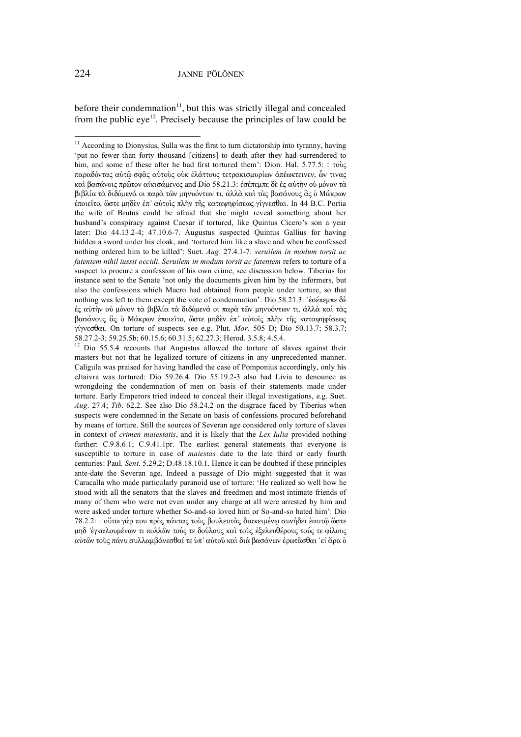before their condemnation $11$ , but this was strictly illegal and concealed from the public eye<sup>12</sup>. Precisely because the principles of law could be

 $11$  According to Dionysius, Sulla was the first to turn dictatorship into tyranny, having 'put no fewer than forty thousand [citizens] to death after they had surrendered to him, and some of these after he had first tortured them': Dion. Hal.  $5.77.5$ :  $\tau \circ \alpha c$ παραδόντας αὐτῶ σφᾶς αὐτοὺς οὐκ ἐλάττους τετρακισμυρίων ἀπέωκτεινεν, ὧν τινας και βασάνοις πρῶτον αἰκισάμενος and Dio 58.21.3: εσέπεμπε δε ες αὐτην οὐ μόνον τα βιβλία τὰ διδόμενά οι παρὰ τῶν μηνυόντων τι, ἀλλὰ καὶ τὰς βασάνους ἃς ὁ Μάκρων έποιείτο, ὣστε μηδὲν ἐπ' αὐτοῖς πλὴν τῆς καταψηφίσεως γίγνεσθαι. In 44 B.C. Portia the wife of Brutus could be afraid that she might reveal something about her husband's conspiracy against Caesar if tortured, like Quintus Cicero's son a year later: Dio 44.13.2-4; 47.10.6-7. Augustus suspected Quintus Gallius for having hidden a sword under his cloak, and 'tortured him like a slave and when he confessed nothing ordered him to be killed': Suet. *Aug*. 27.4.1-7: *seruilem in modum torsit ac fatentem nihil iussit occidi*. *Seruilem in modum torsit ac fatentem* refers to torture of a suspect to procure a confession of his own crime, see discussion below. Tiberius for instance sent to the Senate 'not only the documents given him by the informers, but also the confessions which Macro had obtained from people under torture, so that nothing was left to them except the vote of condemnation': Dio 58.21.3:  $\degree$ е́σέπεμπε δε ἐς αὐτὴν οὐ μόνον τὰ βιβλία τὰ διδόμενά οι παρὰ τῶν μηνυόντων τι, ἀλλὰ καὶ τὰς βασάνους ἃς ὁ Μάκρων ἐποιεῖτο, ὣστε μηδὲν ἐπ' αὐτοῖς πλὴν τῆς καταψηφίσεως γίγνεσθαι. On torture of suspects see e.g. Plut. *Mor*. 505 D; Dio 50.13.7; 58.3.7; 58.27.2-3; 59.25.5b; 60.15.6; 60.31.5; 62.27.3; Herod. 3.5.8; 4.5.4.

<sup>&</sup>lt;sup>12</sup> Dio 55.5.4 recounts that Augustus allowed the torture of slaves against their masters but not that he legalized torture of citizens in any unprecedented manner. Caligula was praised for having handled the case of Pomponius accordingly, only his eJtaivra was tortured: Dio 59.26.4. Dio 55.19.2-3 also had Livia to denounce as wrongdoing the condemnation of men on basis of their statements made under torture. Early Emperors tried indeed to conceal their illegal investigations, e.g. Suet. *Aug*. 27.4; *Tib*. 62.2. See also Dio 58.24.2 on the disgrace faced by Tiberius when suspects were condemned in the Senate on basis of confessions procured beforehand by means of torture. Still the sources of Severan age considered only torture of slaves in context of *crimen maiestatis*, and it is likely that the *Lex Iulia* provided nothing further: C.9.8.6.1; C.9.41.1pr. The earliest general statements that everyone is susceptible to torture in case of *maiestas* date to the late third or early fourth centuries: Paul. *Sent*. 5.29.2; D.48.18.10.1. Hence it can be doubted if these principles ante-date the Severan age. Indeed a passage of Dio might suggested that it was Caracalla who made particularly paranoid use of torture: 'He realized so well how he stood with all the senators that the slaves and freedmen and most intimate friends of many of them who were not even under any charge at all were arrested by him and were asked under torture whether So-and-so loved him or So-and-so hated him': Dio 78.2.2: : ούτω γάρ που πρὸς πάντας τοὺς βουλευτὰς διακειμένφ συνήδει εαυτῷ ὥστε mδ 'έγκαλουμένων τι πολλών τούς τε δούλους και τους εξελευθέρους τούς τε φίλους  $\alpha$ ύτων τούς πάνυ συλλαμβάνεσθαί τε υπ' αύτου και δια βασάνων έρωτασθαι 'εί ἄρα ο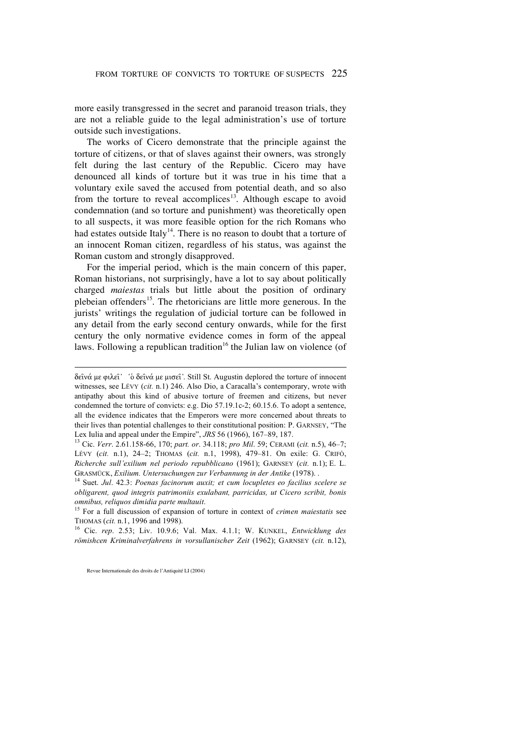more easily transgressed in the secret and paranoid treason trials, they are not a reliable guide to the legal administration's use of torture outside such investigations.

The works of Cicero demonstrate that the principle against the torture of citizens, or that of slaves against their owners, was strongly felt during the last century of the Republic. Cicero may have denounced all kinds of torture but it was true in his time that a voluntary exile saved the accused from potential death, and so also from the torture to reveal accomplices<sup>13</sup>. Although escape to avoid condemnation (and so torture and punishment) was theoretically open to all suspects, it was more feasible option for the rich Romans who had estates outside Italy<sup>14</sup>. There is no reason to doubt that a torture of an innocent Roman citizen, regardless of his status, was against the Roman custom and strongly disapproved.

For the imperial period, which is the main concern of this paper, Roman historians, not surprisingly, have a lot to say about politically charged *maiestas* trials but little about the position of ordinary plebeian offenders<sup>15</sup>. The rhetoricians are little more generous. In the jurists' writings the regulation of judicial torture can be followed in any detail from the early second century onwards, while for the first century the only normative evidence comes in form of the appeal laws. Following a republican tradition<sup>16</sup> the Julian law on violence (of

δεῖνά με φιλεῖ<sup>'</sup> ὑ δεῖνά με μισεῖ'. Still St. Augustin deplored the torture of innocent witnesses, see LÉVY (*cit.* n.1) 246. Also Dio, a Caracalla's contemporary, wrote with antipathy about this kind of abusive torture of freemen and citizens, but never condemned the torture of convicts: e.g. Dio 57.19.1c-2; 60.15.6. To adopt a sentence, all the evidence indicates that the Emperors were more concerned about threats to their lives than potential challenges to their constitutional position: P. GARNSEY, "The Lex Iulia and appeal under the Empire", *JRS* 56 (1966), 167–89, 187.

<sup>13</sup> Cic. *Verr*. 2.61.158-66, 170; *part. or*. 34.118; *pro Mil*. 59; CERAMI (*cit.* n.5), 46–7; LÉVY (*cit.* n.1), 24–2; THOMAS (*cit.* n.1, 1998), 479–81. On exile: G. CRIFÒ, *Richerche sull'exilium nel periodo repubblicano* (1961); GARNSEY (*cit.* n.1); E. L. GRASMÜCK, *Exilium. Untersuchungen zur Verbannung in der Antike* (1978). .

<sup>14</sup> Suet. *Jul*. 42.3: *Poenas facinorum auxit; et cum locupletes eo facilius scelere se obligarent, quod integris patrimoniis exulabant, parricidas, ut Cicero scribit, bonis omnibus, reliquos dimidia parte multauit*.

<sup>15</sup> For a full discussion of expansion of torture in context of *crimen maiestatis* see THOMAS (*cit.* n.1, 1996 and 1998).

<sup>16</sup> Cic. *rep*. 2.53; Liv. 10.9.6; Val. Max. 4.1.1; W. KUNKEL, *Entwicklung des römishcen Kriminalverfahrens in vorsullanischer Zeit* (1962); GARNSEY (*cit.* n.12),

Revue Internationale des droits de l'Antiquité LI (2004)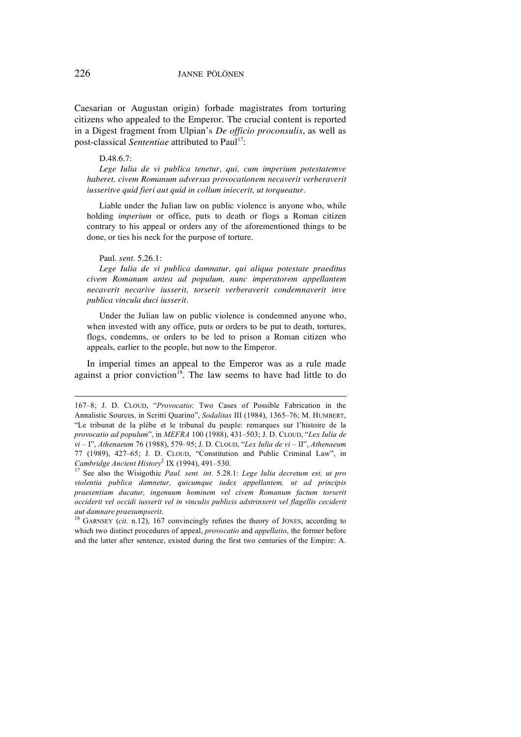Caesarian or Augustan origin) forbade magistrates from torturing citizens who appealed to the Emperor. The crucial content is reported in a Digest fragment from Ulpian's *De officio proconsulis*, as well as post-classical *Sententiae* attributed to Paul 17 :

#### D.48.6.7:

*Lege Iulia de vi publica tenetur, qui, cum imperium potestatemve haberet, civem Romanum adversus provocationem necaverit verberaverit iusseritve quid fieri aut quid in collum iniecerit, ut torqueatur.*

Liable under the Julian law on public violence is anyone who, while holding *imperium* or office, puts to death or flogs a Roman citizen contrary to his appeal or orders any of the aforementioned things to be done, or ties his neck for the purpose of torture.

#### Paul. *sent*. 5.26.1:

*Lege Iulia de vi publica damnatur, qui aliqua potestate praeditus civem Romanum antea ad populum, nunc imperatorem appellantem necaverit necarive iusserit, torserit verberaverit condemnaverit inve publica vincula duci iusserit.*

Under the Julian law on public violence is condemned anyone who, when invested with any office, puts or orders to be put to death, tortures, flogs, condemns, or orders to be led to prison a Roman citizen who appeals, earlier to the people, but now to the Emperor.

In imperial times an appeal to the Emperor was as a rule made against a prior conviction<sup>18</sup>. The law seems to have had little to do

<sup>167–8;</sup> J. D. CLOUD, "*Provocatio*: Two Cases of Possible Fabrication in the Annalistic Sources, in Scritti Quarino", *Sodalitas* III (1984), 1365–76; M. HUMBERT, "Le tribunat de la plèbe et le tribunal du peuple: remarques sur l'histoire de la *provocatio ad populum*", in *MEFRA* 100 (1988), 431–503; J. D. CLOUD, "*Lex Iulia de vi* – I", *Athenaeum* 76 (1988), 579–95; J. D. CLOUD, "*Lex Iulia de vi* – II", *Athenaeum* 77 (1989), 427–65; J. D. CLOUD, "Constitution and Public Criminal Law", in *Cambridge Ancient History* <sup>2</sup> IX (1994), 491–530.

<sup>17</sup> See also the Wisigothic *Paul. sent. int*. 5.28.1: *Lege Iulia decretum est, ut pro violentia publica damnetur, quicumque iudex appellantem, ut ad principis praesentiam ducatur, ingenuum hominem vel civem Romanum factum torserit occiderit vel occidi iusserit vel in vinculis publicis adstrinxerit vel flagellis ceciderit aut damnare praesumpserit*.

<sup>&</sup>lt;sup>18</sup> GARNSEY (*cit.* n.12), 167 convincingly refutes the theory of JONES, according to which two distinct procedures of appeal, *provocatio* and *appellatio*, the former before and the latter after sentence, existed during the first two centuries of the Empire: A.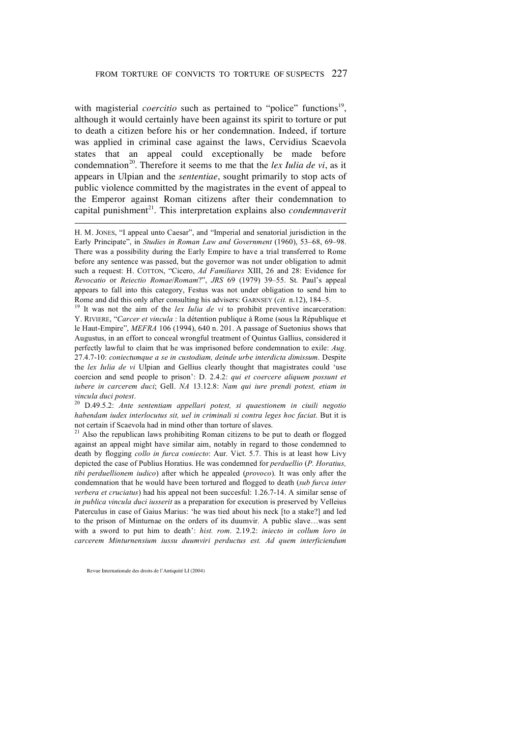with magisterial *coercitio* such as pertained to "police" functions<sup>19</sup>, although it would certainly have been against its spirit to torture or put to death a citizen before his or her condemnation. Indeed, if torture was applied in criminal case against the laws, Cervidius Scaevola states that an appeal could exceptionally be made before condemnation<sup>20</sup>. Therefore it seems to me that the *lex Iulia de vi*, as it appears in Ulpian and the *sententiae*, sought primarily to stop acts of public violence committed by the magistrates in the event of appeal to the Emperor against Roman citizens after their condemnation to capital punishment 21 . This interpretation explains also *condemnaverit*

<sup>21</sup> Also the republican laws prohibiting Roman citizens to be put to death or flogged against an appeal might have similar aim, notably in regard to those condemned to death by flogging *collo in furca coniecto*: Aur. Vict. 5.7. This is at least how Livy depicted the case of Publius Horatius. He was condemned for *perduellio* (*P. Horatius, tibi perduellionem iudico*) after which he appealed (*provoco*). It was only after the condemnation that he would have been tortured and flogged to death (*sub furca inter verbera et cruciatus*) had his appeal not been succesful: 1.26.7-14. A similar sense of *in publica vincula duci iusserit* as a preparation for execution is preserved by Velleius Paterculus in case of Gaius Marius: 'he was tied about his neck [to a stake?] and led to the prison of Minturnae on the orders of its duumvir. A public slave…was sent with a sword to put him to death': *hist. rom*. 2.19.2: *iniecto in collum loro in carcerem Minturnensium iussu duumviri perductus est. Ad quem interficiendum*

Revue Internationale des droits de l'Antiquité LI (2004)

H. M. JONES, "I appeal unto Caesar", and "Imperial and senatorial jurisdiction in the Early Principate", in *Studies in Roman Law and Government* (1960), 53–68, 69–98. There was a possibility during the Early Empire to have a trial transferred to Rome before any sentence was passed, but the governor was not under obligation to admit such a request: H. COTTON, "Cicero, *Ad Familiares* XIII, 26 and 28: Evidence for *Revocatio* or *Reiectio Romae*/*Romam*?", *JRS* 69 (1979) 39–55. St. Paul's appeal appears to fall into this category, Festus was not under obligation to send him to Rome and did this only after consulting his advisers: GARNSEY (*cit.* n.12), 184–5.

<sup>19</sup> It was not the aim of the *lex Iulia de vi* to prohibit preventive incarceration: Y. RIVIERE, "*Carcer et vincula* : la détention publique à Rome (sous la République et le Haut-Empire", *MEFRA* 106 (1994), 640 n. 201. A passage of Suetonius shows that Augustus, in an effort to conceal wrongful treatment of Quintus Gallius, considered it perfectly lawful to claim that he was imprisoned before condemnation to exile: *Aug*. 27.4.7-10: *coniectumque a se in custodiam, deinde urbe interdicta dimissum*. Despite the *lex Iulia de vi* Ulpian and Gellius clearly thought that magistrates could 'use coercion and send people to prison': D. 2.4.2: *qui et coercere aliquem possunt et iubere in carcerem duci*; Gell. *NA* 13.12.8: *Nam qui iure prendi potest, etiam in vincula duci potest*.

<sup>20</sup> D.49.5.2: *Ante sententiam appellari potest, si quaestionem in ciuili negotio habendam iudex interlocutus sit, uel in criminali si contra leges hoc faciat*. But it is not certain if Scaevola had in mind other than torture of slaves.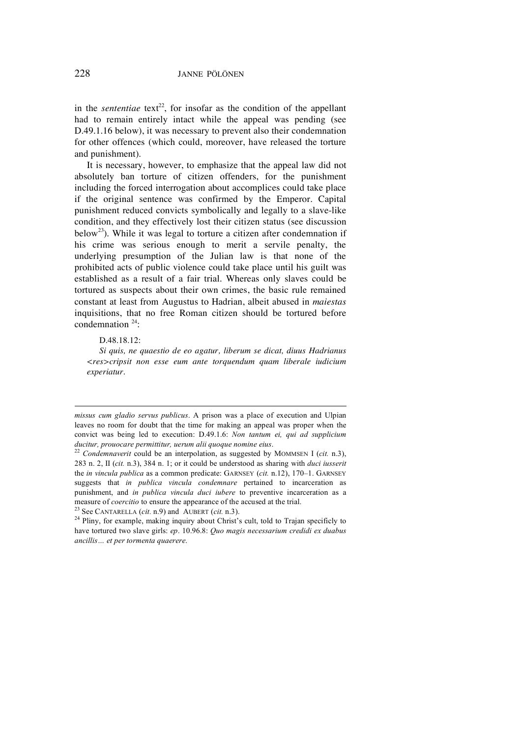in the *sententiae* text 22 , for insofar as the condition of the appellant had to remain entirely intact while the appeal was pending (see D.49.1.16 below), it was necessary to prevent also their condemnation for other offences (which could, moreover, have released the torture and punishment).

It is necessary, however, to emphasize that the appeal law did not absolutely ban torture of citizen offenders, for the punishment including the forced interrogation about accomplices could take place if the original sentence was confirmed by the Emperor. Capital punishment reduced convicts symbolically and legally to a slave-like condition, and they effectively lost their citizen status (see discussion below<sup>23</sup>). While it was legal to torture a citizen after condemnation if his crime was serious enough to merit a servile penalty, the underlying presumption of the Julian law is that none of the prohibited acts of public violence could take place until his guilt was established as a result of a fair trial. Whereas only slaves could be tortured as suspects about their own crimes, the basic rule remained constant at least from Augustus to Hadrian, albeit abused in *maiestas* inquisitions, that no free Roman citizen should be tortured before condemnation  $24$ :

## D.48.18.12:

 $\overline{a}$ 

*Si quis, ne quaestio de eo agatur, liberum se dicat, diuus Hadrianus <res>cripsit non esse eum ante torquendum quam liberale iudicium experiatur.*

*missus cum gladio servus publicus*. A prison was a place of execution and Ulpian leaves no room for doubt that the time for making an appeal was proper when the convict was being led to execution: D.49.1.6: *Non tantum ei, qui ad supplicium ducitur, prouocare permittitur, uerum alii quoque nomine eius*.

<sup>22</sup> *Condemnaverit* could be an interpolation, as suggested by MOMMSEN I (*cit.* n.3), 283 n. 2, II (*cit.* n.3), 384 n. 1; or it could be understood as sharing with *duci iusserit* the *in vincula publica* as a common predicate: GARNSEY (*cit.* n.12), 170–1. GARNSEY suggests that *in publica vincula condemnare* pertained to incarceration as punishment, and *in publica vincula duci iubere* to preventive incarceration as a measure of *coercitio* to ensure the appearance of the accused at the trial.

<sup>23</sup> See CANTARELLA (*cit.* n.9) and AUBERT (*cit.* n.3).

<sup>&</sup>lt;sup>24</sup> Pliny, for example, making inquiry about Christ's cult, told to Trajan specificly to have tortured two slave girls: *ep*. 10.96.8: *Quo magis necessarium credidi ex duabus ancillis… et per tormenta quaerere*.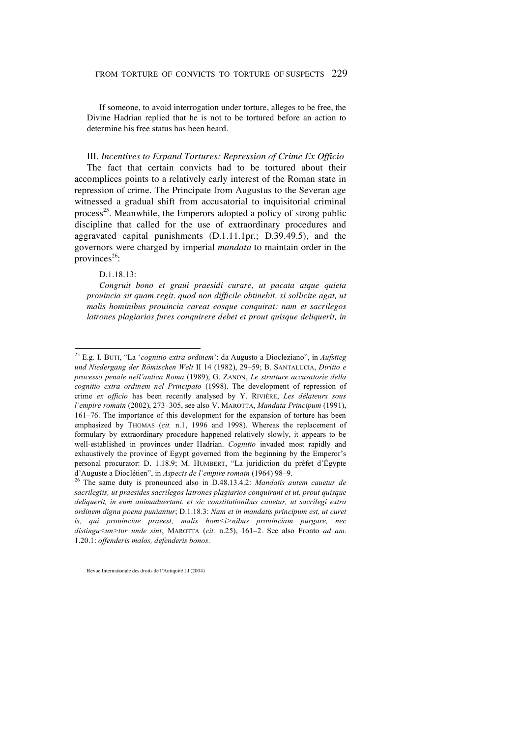If someone, to avoid interrogation under torture, alleges to be free, the Divine Hadrian replied that he is not to be tortured before an action to determine his free status has been heard.

III*. Incentives to Expand Tortures: Repression of Crime Ex Officio* The fact that certain convicts had to be tortured about their accomplices points to a relatively early interest of the Roman state in repression of crime. The Principate from Augustus to the Severan age witnessed a gradual shift from accusatorial to inquisitorial criminal process<sup>25</sup>. Meanwhile, the Emperors adopted a policy of strong public discipline that called for the use of extraordinary procedures and aggravated capital punishments (D.1.11.1pr.; D.39.49.5), and the governors were charged by imperial *mandata* to maintain order in the provinces $26$ :

#### D.1.18.13:

*Congruit bono et graui praesidi curare, ut pacata atque quieta prouincia sit quam regit. quod non difficile obtinebit, si sollicite agat, ut malis hominibus prouincia careat eosque conquirat: nam et sacrilegos latrones plagiarios fures conquirere debet et prout quisque deliquerit, in*

<sup>25</sup> E.g. I. BUTI, "La '*cognitio extra ordinem*': da Augusto <sup>a</sup> Diocleziano", in *Aufstieg und Niedergang der Römischen Welt* II 14 (1982), 29–59; B. SANTALUCIA, *Diritto e processo penale nell'antica Roma* (1989); G. ZANON, *Le strutture accusatorie della cognitio extra ordinem nel Principato* (1998). The development of repression of crime *ex officio* has been recently analysed by Y. RIVIÈRE, *Les délateurs sous l'empire romain* (2002), 273–305, see also V. MAROTTA, *Mandata Principum* (1991), 161–76. The importance of this development for the expansion of torture has been emphasized by THOMAS (*cit.* n.1, 1996 and 1998). Whereas the replacement of formulary by extraordinary procedure happened relatively slowly, it appears to be well-established in provinces under Hadrian. *Cognitio* invaded most rapidly and exhaustively the province of Egypt governed from the beginning by the Emperor's personal procurator: D. 1.18.9; M. HUMBERT, "La juridiction du préfet d'Égypte d'Auguste a Dioclétien", in *Aspects de l'empire romain* (1964) 98–9.

<sup>26</sup> The same duty is pronounced also in D.48.13.4.2: *Mandatis autem cauetur de sacrilegiis, ut praesides sacrilegos latrones plagiarios conquirant et ut, prout quisque deliquerit, in eum animaduertant. et sic constitutionibus cauetur, ut sacrilegi extra ordinem digna poena puniantur*; D.1.18.3: *Nam et in mandatis principum est, ut curet is, qui prouinciae praeest, malis hom* $\leq$ *i>nibus prouinciam purgare, nec distingu<un>tur unde sint*; MAROTTA (*cit.* n.25), 161–2. See also Fronto *ad am*. 1.20.1: *offenderis malos, defenderis bonos*.

Revue Internationale des droits de l'Antiquité LI (2004)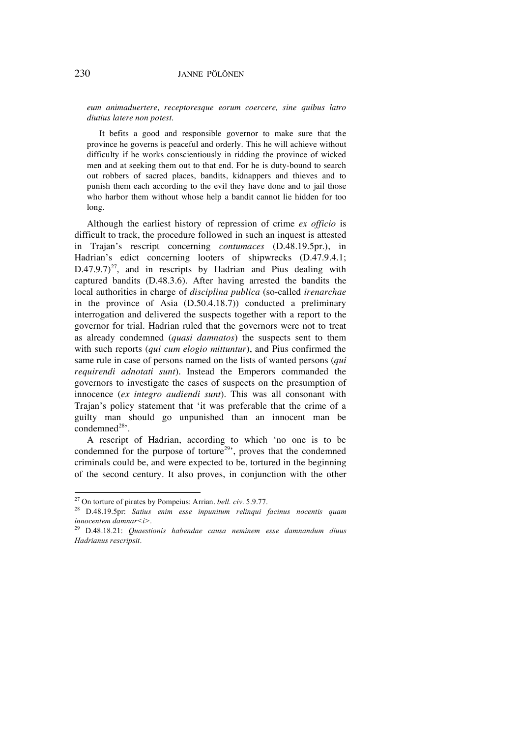*eum animaduertere, receptoresque eorum coercere, sine quibus latro diutius latere non potest.*

It befits a good and responsible governor to make sure that the province he governs is peaceful and orderly. This he will achieve without difficulty if he works conscientiously in ridding the province of wicked men and at seeking them out to that end. For he is duty-bound to search out robbers of sacred places, bandits, kidnappers and thieves and to punish them each according to the evil they have done and to jail those who harbor them without whose help a bandit cannot lie hidden for too long.

Although the earliest history of repression of crime *ex officio* is difficult to track, the procedure followed in such an inquest is attested in Trajan's rescript concerning *contumaces* (D.48.19.5pr.), in Hadrian's edict concerning looters of shipwrecks (D.47.9.4.1;  $D.47.9.7)^{27}$ , and in rescripts by Hadrian and Pius dealing with captured bandits (D.48.3.6). After having arrested the bandits the local authorities in charge of *disciplina publica* (so-called *irenarchae* in the province of Asia (D.50.4.18.7)) conducted a preliminary interrogation and delivered the suspects together with a report to the governor for trial. Hadrian ruled that the governors were not to treat as already condemned (*quasi damnatos*) the suspects sent to them with such reports (*qui cum elogio mittuntur*), and Pius confirmed the same rule in case of persons named on the lists of wanted persons (*qui requirendi adnotati sunt*). Instead the Emperors commanded the governors to investigate the cases of suspects on the presumption of innocence (*ex integro audiendi sunt*). This was all consonant with Trajan's policy statement that 'it was preferable that the crime of a guilty man should go unpunished than an innocent man be  $condemned<sup>28</sup>$ .

A rescript of Hadrian, according to which 'no one is to be condemned for the purpose of torture<sup>29</sup>, proves that the condemned criminals could be, and were expected to be, tortured in the beginning of the second century. It also proves, in conjunction with the other

<sup>27</sup> On torture of pirates by Pompeius: Arrian. *bell. civ*. 5.9.77.

<sup>28</sup> D.48.19.5pr: *Satius enim esse inpunitum relinqui facinus nocentis quam innocentem damnar<i>*.

<sup>29</sup> D.48.18.21: *Quaestionis habendae causa neminem esse damnandum diuus Hadrianus rescripsit*.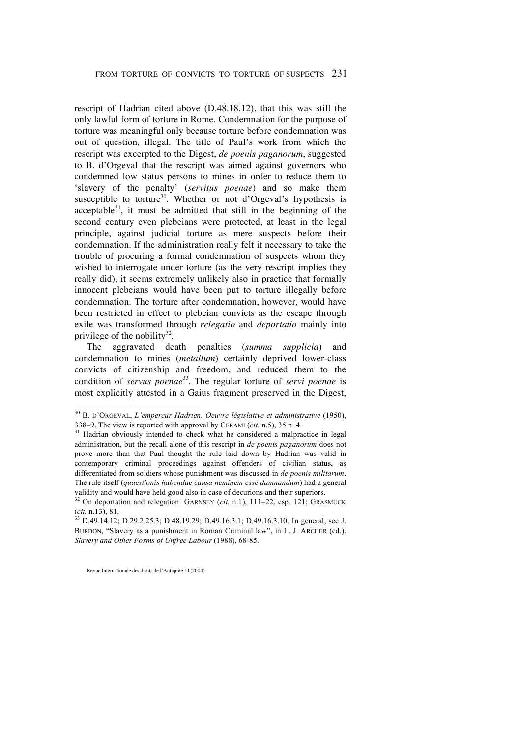rescript of Hadrian cited above (D.48.18.12), that this was still the only lawful form of torture in Rome. Condemnation for the purpose of torture was meaningful only because torture before condemnation was out of question, illegal. The title of Paul's work from which the rescript was excerpted to the Digest, *de poenis paganorum*, suggested to B. d'Orgeval that the rescript was aimed against governors who condemned low status persons to mines in order to reduce them to 'slavery of the penalty' (*servitus poenae*) and so make them susceptible to torture<sup>30</sup>. Whether or not d'Orgeval's hypothesis is acceptable $31$ , it must be admitted that still in the beginning of the second century even plebeians were protected, at least in the legal principle, against judicial torture as mere suspects before their condemnation. If the administration really felt it necessary to take the trouble of procuring a formal condemnation of suspects whom they wished to interrogate under torture (as the very rescript implies they really did), it seems extremely unlikely also in practice that formally innocent plebeians would have been put to torture illegally before condemnation. The torture after condemnation, however, would have been restricted in effect to plebeian convicts as the escape through exile was transformed through *relegatio* and *deportatio* mainly into privilege of the nobility $32$ .

The aggravated death penalties (*summa supplicia*) and condemnation to mines (*metallum*) certainly deprived lower-class convicts of citizenship and freedom, and reduced them to the condition of *servus poenae*<sup>33</sup> *.* The regular torture of *servi poenae* is most explicitly attested in a Gaius fragment preserved in the Digest,

<sup>30</sup> B. D'ORGEVAL, *L'empereur Hadrien. Oeuvre législative et administrative* (1950), 338–9. The view is reported with approval by CERAMI (*cit.* n.5), 35 n. 4.

<sup>&</sup>lt;sup>31</sup> Hadrian obviously intended to check what he considered a malpractice in legal administration, but the recall alone of this rescript in *de poenis paganorum* does not prove more than that Paul thought the rule laid down by Hadrian was valid in contemporary criminal proceedings against offenders of civilian status, as differentiated from soldiers whose punishment was discussed in *de poenis militarum*. The rule itself (*quaestionis habendae causa neminem esse damnandum*) had a general validity and would have held good also in case of decurions and their superiors.

<sup>&</sup>lt;sup>32</sup> On deportation and relegation: GARNSEY (*cit.* n.1), 111-22, esp. 121; GRASMÜCK (*cit.* n.13), 81.

 $33$  D.49.14.12; D.29.2.25.3; D.48.19.29; D.49.16.3.1; D.49.16.3.10. In general, see J. BURDON, "Slavery as a punishment in Roman Criminal law", in L. J. ARCHER (ed.), *Slavery and Other Forms of Unfree Labour* (1988), 68-85.

Revue Internationale des droits de l'Antiquité LI (2004)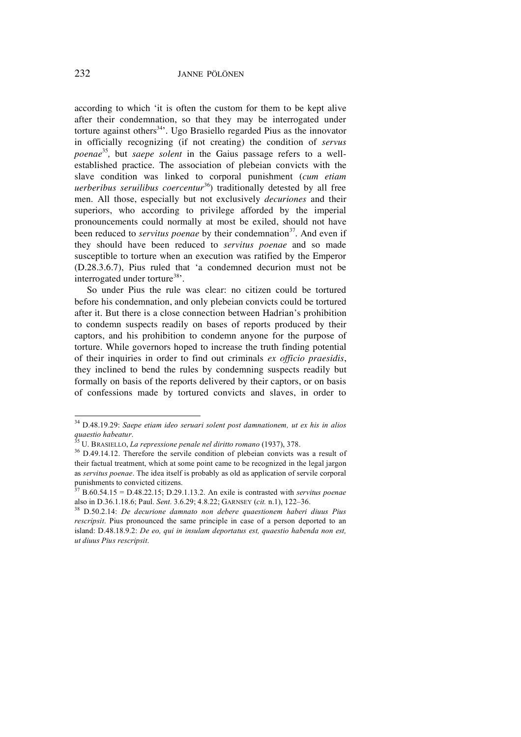according to which 'it is often the custom for them to be kept alive after their condemnation, so that they may be interrogated under torture against others<sup>34</sup>'. Ugo Brasiello regarded Pius as the innovator in officially recognizing (if not creating) the condition of *servus poenae*<sup>35</sup> *,* but *saepe solent* in the Gaius passage refers to a wellestablished practice. The association of plebeian convicts with the slave condition was linked to corporal punishment (*cum etiam uerberibus seruilibus coercentur* 36 ) traditionally detested by all free men. All those, especially but not exclusively *decuriones* and their superiors, who according to privilege afforded by the imperial pronouncements could normally at most be exiled, should not have been reduced to *servitus poenae* by their condemnation<sup>37</sup>. And even if they should have been reduced to *servitus poenae* and so made susceptible to torture when an execution was ratified by the Emperor (D.28.3.6.7), Pius ruled that 'a condemned decurion must not be interrogated under torture<sup>38</sup>'.

So under Pius the rule was clear: no citizen could be tortured before his condemnation, and only plebeian convicts could be tortured after it. But there is a close connection between Hadrian's prohibition to condemn suspects readily on bases of reports produced by their captors, and his prohibition to condemn anyone for the purpose of torture. While governors hoped to increase the truth finding potential of their inquiries in order to find out criminals *ex officio praesidis*, they inclined to bend the rules by condemning suspects readily but formally on basis of the reports delivered by their captors, or on basis of confessions made by tortured convicts and slaves, in order to

<sup>34</sup> D.48.19.29: *Saepe etiam ideo seruari solent post damnationem, ut ex his in alios quaestio habeatur*.

<sup>35</sup> U. BRASIELLO, *La repressione penale nel diritto romano* (1937), 378.

<sup>&</sup>lt;sup>36</sup> D.49.14.12. Therefore the servile condition of plebeian convicts was a result of their factual treatment, which at some point came to be recognized in the legal jargon as *servitus poenae*. The idea itself is probably as old as application of servile corporal punishments to convicted citizens.

<sup>37</sup> B.60.54.15 = D.48.22.15; D.29.1.13.2. An exile is contrasted with *servitus poenae* also in D.36.1.18.6; Paul. *Sent*. 3.6.29; 4.8.22; GARNSEY (*cit.* n.1), 122–36.

<sup>38</sup> D.50.2.14: *De decurione damnato non debere quaestionem haberi diuus Pius rescripsit*. Pius pronounced the same principle in case of a person deported to an island: D.48.18.9.2: *De eo, qui in insulam deportatus est, quaestio habenda non est, ut diuus Pius rescripsit*.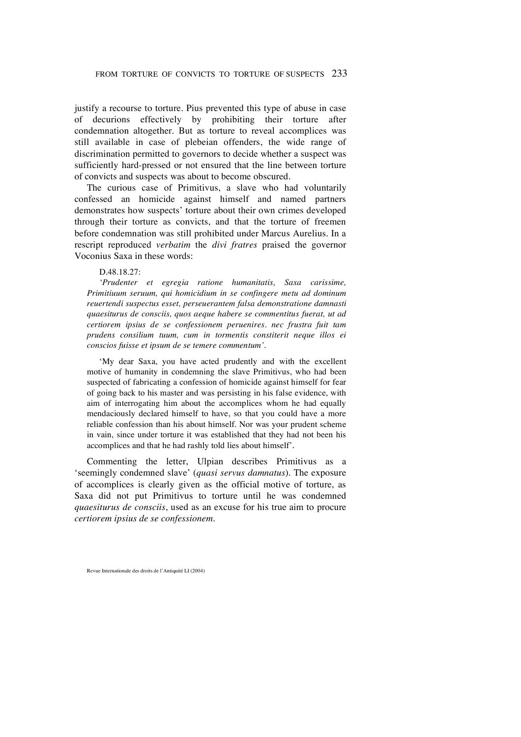justify a recourse to torture. Pius prevented this type of abuse in case of decurions effectively by prohibiting their torture after condemnation altogether. But as torture to reveal accomplices was still available in case of plebeian offenders, the wide range of discrimination permitted to governors to decide whether a suspect was sufficiently hard-pressed or not ensured that the line between torture of convicts and suspects was about to become obscured.

The curious case of Primitivus, a slave who had voluntarily confessed an homicide against himself and named partners demonstrates how suspects' torture about their own crimes developed through their torture as convicts, and that the torture of freemen before condemnation was still prohibited under Marcus Aurelius. In a rescript reproduced *verbatim* the *divi fratres* praised the governor Voconius Saxa in these words:

#### D.48.18.27:

*'Prudenter et egregia ratione humanitatis, Saxa carissime, Primitiuum seruum, qui homicidium in se confingere metu ad dominum reuertendi suspectus esset, perseuerantem falsa demonstratione damnasti quaesiturus de consciis, quos aeque habere se commentitus fuerat, ut ad certiorem ipsius de se confessionem peruenires. nec frustra fuit tam prudens consilium tuum, cum in tormentis constiterit neque illos ei conscios fuisse et ipsum de se temere commentum'.*

'My dear Saxa, you have acted prudently and with the excellent motive of humanity in condemning the slave Primitivus, who had been suspected of fabricating a confession of homicide against himself for fear of going back to his master and was persisting in his false evidence, with aim of interrogating him about the accomplices whom he had equally mendaciously declared himself to have, so that you could have a more reliable confession than his about himself. Nor was your prudent scheme in vain, since under torture it was established that they had not been his accomplices and that he had rashly told lies about himself'.

Commenting the letter, Ulpian describes Primitivus as a 'seemingly condemned slave' (*quasi servus damnatus*). The exposure of accomplices is clearly given as the official motive of torture, as Saxa did not put Primitivus to torture until he was condemned *quaesiturus de consciis*, used as an excuse for his true aim to procure *certiorem ipsius de se confessionem*.

Revue Internationale des droits de l'Antiquité LI (2004)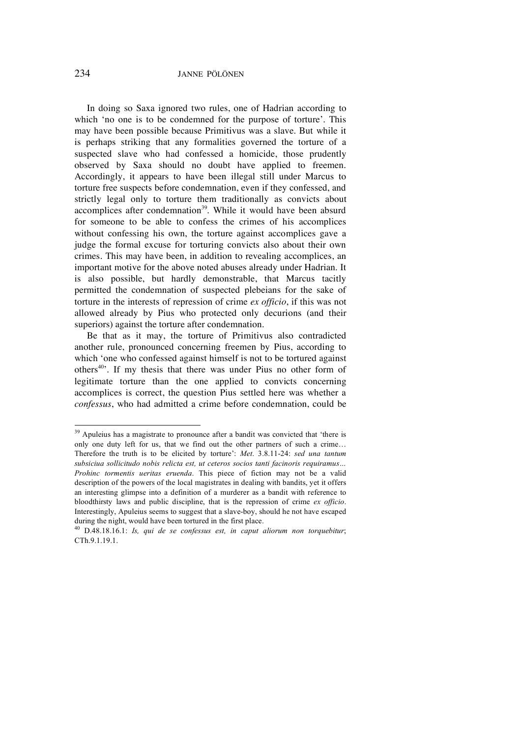In doing so Saxa ignored two rules, one of Hadrian according to which 'no one is to be condemned for the purpose of torture'. This may have been possible because Primitivus was a slave. But while it is perhaps striking that any formalities governed the torture of a suspected slave who had confessed a homicide, those prudently observed by Saxa should no doubt have applied to freemen. Accordingly, it appears to have been illegal still under Marcus to torture free suspects before condemnation, even if they confessed, and strictly legal only to torture them traditionally as convicts about accomplices after condemnation<sup>39</sup>. While it would have been absurd for someone to be able to confess the crimes of his accomplices without confessing his own, the torture against accomplices gave a judge the formal excuse for torturing convicts also about their own crimes. This may have been, in addition to revealing accomplices, an important motive for the above noted abuses already under Hadrian. It is also possible, but hardly demonstrable, that Marcus tacitly permitted the condemnation of suspected plebeians for the sake of torture in the interests of repression of crime *ex officio*, if this was not allowed already by Pius who protected only decurions (and their superiors) against the torture after condemnation.

Be that as it may, the torture of Primitivus also contradicted another rule, pronounced concerning freemen by Pius, according to which 'one who confessed against himself is not to be tortured against others<sup>40</sup>. If my thesis that there was under Pius no other form of legitimate torture than the one applied to convicts concerning accomplices is correct, the question Pius settled here was whether a *confessus*, who had admitted a crime before condemnation, could be

<sup>&</sup>lt;sup>39</sup> Apuleius has a magistrate to pronounce after a bandit was convicted that 'there is only one duty left for us, that we find out the other partners of such a crime… Therefore the truth is to be elicited by torture': *Met*. 3.8.11-24: *sed una tantum subsiciua sollicitudo nobis relicta est, ut ceteros socios tanti facinoris requiramus… Prohinc tormentis ueritas eruenda*. This piece of fiction may not be a valid description of the powers of the local magistrates in dealing with bandits, yet it offers an interesting glimpse into a definition of a murderer as a bandit with reference to bloodthirsty laws and public discipline, that is the repression of crime *ex officio*. Interestingly, Apuleius seems to suggest that a slave-boy, should he not have escaped during the night, would have been tortured in the first place.

<sup>40</sup> D.48.18.16.1: *Is, qui de se confessus est, in caput aliorum non torquebitur*; CTh.9.1.19.1.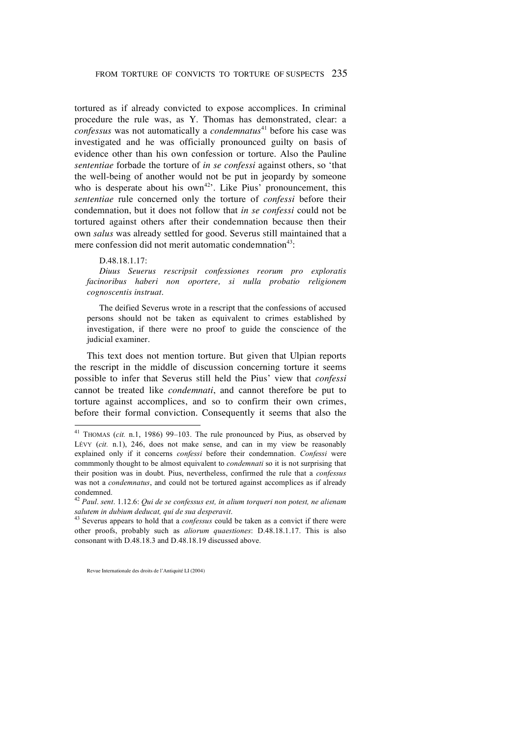tortured as if already convicted to expose accomplices. In criminal procedure the rule was, as Y. Thomas has demonstrated, clear: a *confessus* was not automatically a *condemnatus*<sup>41</sup> before his case was investigated and he was officially pronounced guilty on basis of evidence other than his own confession or torture. Also the Pauline *sententiae* forbade the torture of *in se confessi* against others, so 'that the well-being of another would not be put in jeopardy by someone who is desperate about his  $own<sup>42</sup>$ . Like Pius' pronouncement, this *sententiae* rule concerned only the torture of *confessi* before their condemnation, but it does not follow that *in se confessi* could not be tortured against others after their condemnation because then their own *salus* was already settled for good. Severus still maintained that a mere confession did not merit automatic condemnation<sup>43</sup>:

#### D.48.18.1.17:

*Diuus Seuerus rescripsit confessiones reorum pro exploratis facinoribus haberi non oportere, si nulla probatio religionem cognoscentis instruat.*

The deified Severus wrote in a rescript that the confessions of accused persons should not be taken as equivalent to crimes established by investigation, if there were no proof to guide the conscience of the judicial examiner.

This text does not mention torture. But given that Ulpian reports the rescript in the middle of discussion concerning torture it seems possible to infer that Severus still held the Pius' view that *confessi* cannot be treated like *condemnati*, and cannot therefore be put to torture against accomplices, and so to confirm their own crimes, before their formal conviction. Consequently it seems that also the

<sup>41</sup> THOMAS (*cit.* n.1, 1986) 99–103. The rule pronounced by Pius, as observed by LÉVY (*cit.* n.1), 246, does not make sense, and can in my view be reasonably explained only if it concerns *confessi* before their condemnation. *Confessi* were commmonly thought to be almost equivalent to *condemnati* so it is not surprising that their position was in doubt. Pius, nevertheless, confirmed the rule that a *confessus* was not a *condemnatus*, and could not be tortured against accomplices as if already condemned.

<sup>42</sup> *Paul*. *sent*. 1.12.6: *Qui de se confessus est, in alium torqueri non potest, ne alienam salutem in dubium deducat, qui de sua desperavit*.

<sup>43</sup> Severus appears to hold that a *confessus* could be taken as a convict if there were other proofs, probably such as *aliorum quaestiones*: D.48.18.1.17. This is also consonant with D.48.18.3 and D.48.18.19 discussed above.

Revue Internationale des droits de l'Antiquité LI (2004)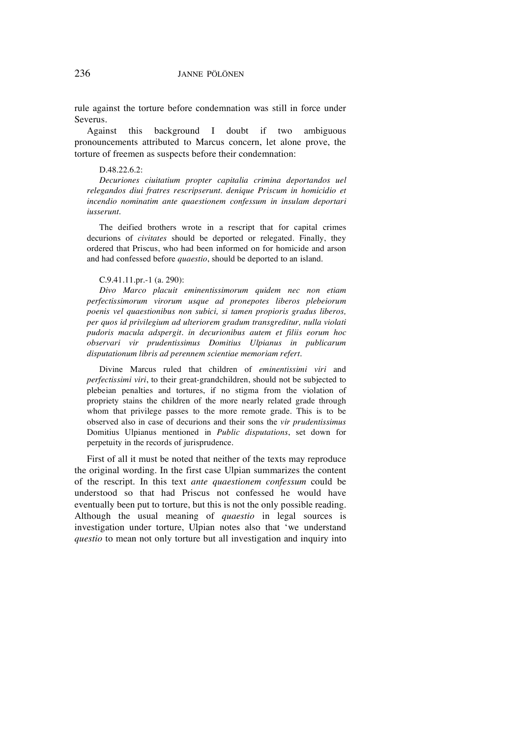rule against the torture before condemnation was still in force under Severus.

Against this background I doubt if two ambiguous pronouncements attributed to Marcus concern, let alone prove, the torture of freemen as suspects before their condemnation:

#### D.48.22.6.2:

*Decuriones ciuitatium propter capitalia crimina deportandos uel relegandos diui fratres rescripserunt. denique Priscum in homicidio et incendio nominatim ante quaestionem confessum in insulam deportari iusserunt.*

The deified brothers wrote in a rescript that for capital crimes decurions of *civitates* should be deported or relegated. Finally, they ordered that Priscus, who had been informed on for homicide and arson and had confessed before *quaestio*, should be deported to an island.

#### C.9.41.11.pr.-1 (a. 290):

*Divo Marco placuit eminentissimorum quidem nec non etiam perfectissimorum virorum usque ad pronepotes liberos plebeiorum poenis vel quaestionibus non subici, si tamen propioris gradus liberos, per quos id privilegium ad ulteriorem gradum transgreditur, nulla violati pudoris macula adspergit. in decurionibus autem et filiis eorum hoc observari vir prudentissimus Domitius Ulpianus in publicarum disputationum libris ad perennem scientiae memoriam refert.*

Divine Marcus ruled that children of *eminentissimi viri* and *perfectissimi viri*, to their great-grandchildren, should not be subjected to plebeian penalties and tortures, if no stigma from the violation of propriety stains the children of the more nearly related grade through whom that privilege passes to the more remote grade. This is to be observed also in case of decurions and their sons the *vir prudentissimus* Domitius Ulpianus mentioned in *Public disputations*, set down for perpetuity in the records of jurisprudence.

First of all it must be noted that neither of the texts may reproduce the original wording. In the first case Ulpian summarizes the content of the rescript. In this text *ante quaestionem confessum* could be understood so that had Priscus not confessed he would have eventually been put to torture, but this is not the only possible reading. Although the usual meaning of *quaestio* in legal sources is investigation under torture, Ulpian notes also that 'we understand *questio* to mean not only torture but all investigation and inquiry into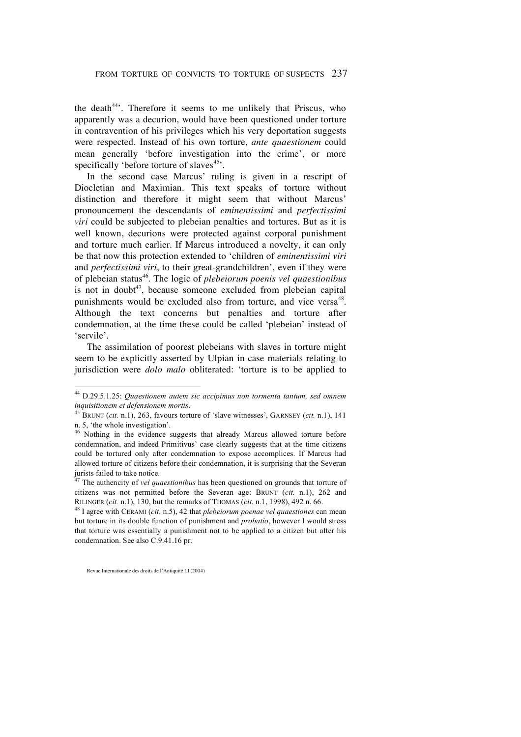the death<sup>44</sup>. Therefore it seems to me unlikely that Priscus, who apparently was a decurion, would have been questioned under torture in contravention of his privileges which his very deportation suggests were respected. Instead of his own torture, *ante quaestionem* could mean generally 'before investigation into the crime', or more specifically 'before torture of slaves<sup>45</sup>'.

In the second case Marcus' ruling is given in a rescript of Diocletian and Maximian. This text speaks of torture without distinction and therefore it might seem that without Marcus' pronouncement the descendants of *eminentissimi* and *perfectissimi viri* could be subjected to plebeian penalties and tortures. But as it is well known, decurions were protected against corporal punishment and torture much earlier. If Marcus introduced a novelty, it can only be that now this protection extended to 'children of *eminentissimi viri* and *perfectissimi viri*, to their great-grandchildren', even if they were of plebeian status 46 . The logic of *plebeiorum poenis vel quaestionibus* is not in doubt<sup>47</sup>, because someone excluded from plebeian capital punishments would be excluded also from torture, and vice versa<sup>48</sup>. Although the text concerns but penalties and torture after condemnation, at the time these could be called 'plebeian' instead of 'servile'.

The assimilation of poorest plebeians with slaves in torture might seem to be explicitly asserted by Ulpian in case materials relating to jurisdiction were *dolo malo* obliterated: 'torture is to be applied to

<sup>48</sup> I agree with CERAMI (*cit.* n.5), 42 that *plebeiorum poenae vel quaestiones* can mean but torture in its double function of punishment and *probatio*, however I would stress that torture was essentially a punishment not to be applied to a citizen but after his condemnation. See also C.9.41.16 pr.

Revue Internationale des droits de l'Antiquité LI (2004)

<sup>44</sup> D.29.5.1.25: *Quaestionem autem sic accipimus non tormenta tantum, sed omnem inquisitionem et defensionem mortis*.

<sup>45</sup> BRUNT (*cit.* n.1), 263, favours torture of 'slave witnesses', GARNSEY (*cit.* n.1), 141 n. 5, 'the whole investigation'.

<sup>46</sup> Nothing in the evidence suggests that already Marcus allowed torture before condemnation, and indeed Primitivus' case clearly suggests that at the time citizens could be tortured only after condemnation to expose accomplices. If Marcus had allowed torture of citizens before their condemnation, it is surprising that the Severan jurists failed to take notice.

<sup>47</sup> The authencity of *vel quaestionibus* has been questioned on grounds that torture of citizens was not permitted before the Severan age: BRUNT (*cit.* n.1), 262 and RILINGER (*cit.* n.1), 130, but the remarks of THOMAS (*cit.* n.1, 1998), 492 n. 66.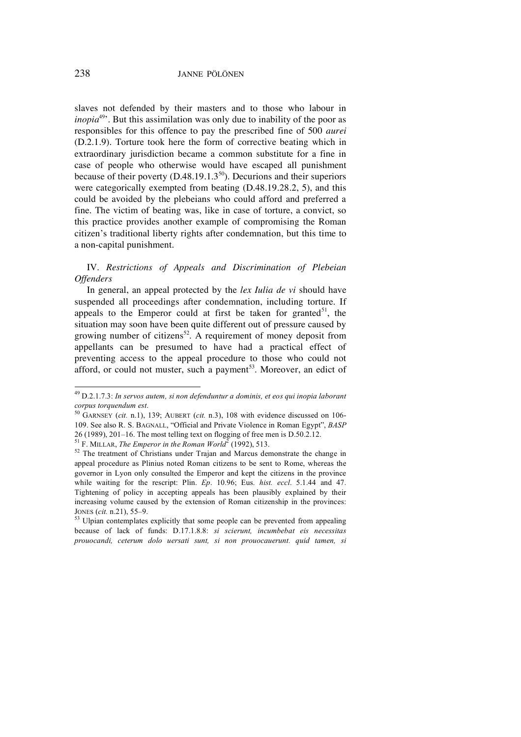slaves not defended by their masters and to those who labour in *inopia*<sup>49</sup>. But this assimilation was only due to inability of the poor as responsibles for this offence to pay the prescribed fine of 500 *aurei* (D.2.1.9). Torture took here the form of corrective beating which in extraordinary jurisdiction became a common substitute for a fine in case of people who otherwise would have escaped all punishment because of their poverty ( $D.48.19.1.3^{50}$ ). Decurions and their superiors were categorically exempted from beating (D.48.19.28.2, 5), and this could be avoided by the plebeians who could afford and preferred a fine. The victim of beating was, like in case of torture, a convict, so this practice provides another example of compromising the Roman citizen's traditional liberty rights after condemnation, but this time to a non-capital punishment.

# IV. *Restrictions of Appeals and Discrimination of Plebeian Offenders*

In general, an appeal protected by the *lex Iulia de vi* should have suspended all proceedings after condemnation, including torture. If appeals to the Emperor could at first be taken for granted<sup>51</sup>, the situation may soon have been quite different out of pressure caused by growing number of citizens<sup>52</sup>. A requirement of money deposit from appellants can be presumed to have had a practical effect of preventing access to the appeal procedure to those who could not afford, or could not muster, such a payment<sup>53</sup>. Moreover, an edict of

<sup>51</sup> F. MILLAR, *The Emperor in the Roman World*<sup>2</sup> (1992), 513.

<sup>49</sup> D.2.1.7.3: *In servos autem, si non defenduntur <sup>a</sup> dominis, et eos qui inopia laborant corpus torquendum est*.

<sup>50</sup> GARNSEY (*cit.* n.1), 139; AUBERT (*cit.* n.3), 108 with evidence discussed on 106- 109. See also R. S. BAGNALL, "Official and Private Violence in Roman Egypt", *BASP* 26 (1989), 201–16. The most telling text on flogging of free men is D.50.2.12.

 $52$  The treatment of Christians under Trajan and Marcus demonstrate the change in appeal procedure as Plinius noted Roman citizens to be sent to Rome, whereas the governor in Lyon only consulted the Emperor and kept the citizens in the province while waiting for the rescript: Plin. *Ep*. 10.96; Eus. *hist. eccl*. 5.1.44 and 47. Tightening of policy in accepting appeals has been plausibly explained by their increasing volume caused by the extension of Roman citizenship in the provinces: JONES (*cit.* n.21), 55–9.

 $53$  Ulpian contemplates explicitly that some people can be prevented from appealing because of lack of funds: D.17.1.8.8: *si scierunt, incumbebat eis necessitas prouocandi, ceterum dolo uersati sunt, si non prouocauerunt. quid tamen, si*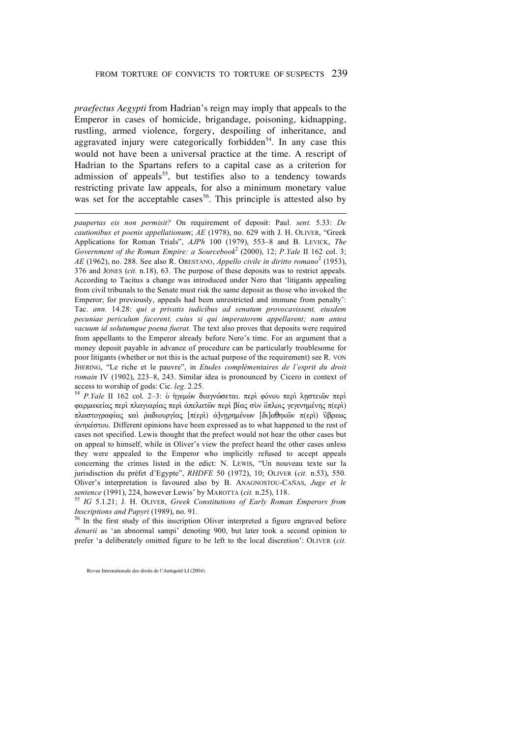*praefectus Aegypti* from Hadrian's reign may imply that appeals to the Emperor in cases of homicide, brigandage, poisoning, kidnapping, rustling, armed violence, forgery, despoiling of inheritance, and aggravated injury were categorically forbidden<sup>54</sup>. In any case this would not have been a universal practice at the time. A rescript of Hadrian to the Spartans refers to a capital case as a criterion for admission of appeals<sup>55</sup>, but testifies also to a tendency towards restricting private law appeals, for also a minimum monetary value was set for the acceptable cases<sup>56</sup>. This principle is attested also by

*paupertas eis non permisit?* On requirement of deposit: Paul. *sent.* 5.33: *De cautionibus et poenis appellationum*; *AE* (1978), no. 629 with J. H. OLIVER, "Greek Applications for Roman Trials", *AJPh* 100 (1979), 553–8 and B. LEVICK, *The Government of the Roman Empire: a Sourcebook* <sup>2</sup> (2000), 12; *P.Yale* II 162 col. 3; *AE* (1962), no. 288. See also R. ORESTANO, *Appello civile in diritto romano*<sup>2</sup> (1953), 376 and JONES (*cit.* n.18), 63. The purpose of these deposits was to restrict appeals. According to Tacitus a change was introduced under Nero that 'litigants appealing from civil tribunals to the Senate must risk the same deposit as those who invoked the Emperor; for previously, appeals had been unrestricted and immune from penalty': Tac. *ann.* 14.28: *qui a privatis iudicibus ad senatum provocavissent, eiusdem pecuniae periculum facerent, cuius si qui imperatorem appellarent; nam antea vacuum id solutumque poena fuerat*. The text also proves that deposits were required from appellants to the Emperor already before Nero's time. For an argument that a money deposit payable in advance of procedure can be particularly troublesome for poor litigants (whether or not this is the actual purpose of the requirement) see R. VON JHERING, "Le riche et le pauvre", in *Etudes complémentaires de l'esprit du droit romain* IV (1902), 223–8, 243. Similar idea is pronounced by Cicero in context of access to worship of gods: Cic. *leg*. 2.25.

<sup>54</sup> *P.Yale* II 162 col. 2–3: ὁ ἡγεμὼν διαγγώσεται, περὶ φόνου περὶ ληστειῶν περὶ φαρμακείας περί πλαγιαρίας περί άπελατῶν περί βίας σὺν ὅπλοις γεγενημένης π(ερί) πλαστογραφίας καλ ραδιουργίας [π(ερλ) α]νηρημένων [δι]αθηκῶν π(ερλ) ύβρεως  $\alpha$ νηκέστου. Different opinions have been expressed as to what happened to the rest of cases not specified. Lewis thought that the prefect would not hear the other cases but on appeal to himself, while in Oliver's view the prefect heard the other cases unless they were appealed to the Emperor who implicitly refused to accept appeals concerning the crimes listed in the edict: N. LEWIS, "Un nouveau texte sur la jurisdisction du préfet d'Egypte", *RHDFE* 50 (1972), 10; OLIVER (*cit.* n.53), 550. Oliver's interpretation is favoured also by B. ANAGNOSTOU-CAÑAS, *Juge et le sentence* (1991), 224, however Lewis' by MAROTTA (*cit.* n.25), 118.

<sup>55</sup> *IG* 5.1.21; J. H. OLIVER, *Greek Constitutions of Early Roman Emperors from Inscriptions and Papyri* (1989), no. 91.

<sup>56</sup> In the first study of this inscription Oliver interpreted a figure engraved before *denarii* as 'an abnormal sampi' denoting 900, but later took a second opinion to prefer 'a deliberately omitted figure to be left to the local discretion': OLIVER (*cit.*

Revue Internationale des droits de l'Antiquité LI (2004)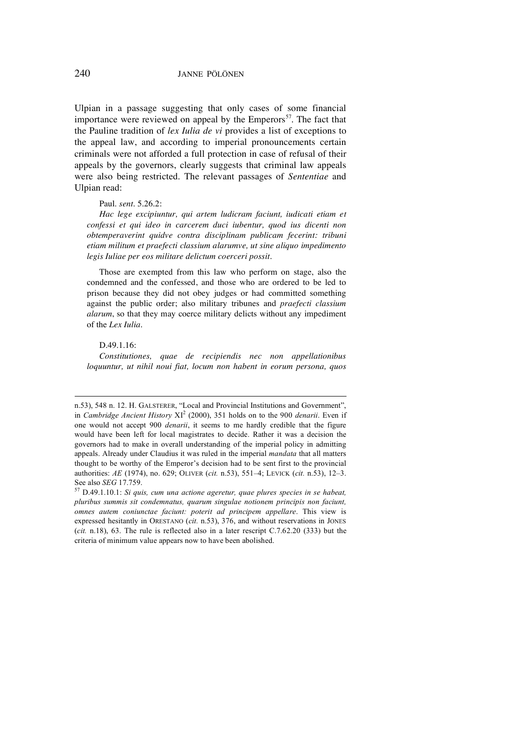Ulpian in a passage suggesting that only cases of some financial importance were reviewed on appeal by the Emperors<sup>57</sup>. The fact that the Pauline tradition of *lex Iulia de vi* provides a list of exceptions to the appeal law, and according to imperial pronouncements certain criminals were not afforded a full protection in case of refusal of their appeals by the governors, clearly suggests that criminal law appeals were also being restricted. The relevant passages of *Sententiae* and Ulpian read:

#### Paul. *sent*. 5.26.2:

*Hac lege excipiuntur, qui artem ludicram faciunt, iudicati etiam et confessi et qui ideo in carcerem duci iubentur, quod ius dicenti non obtemperaverint quidve contra disciplinam publicam fecerint: tribuni etiam militum et praefecti classium alarumve, ut sine aliquo impedimento legis Iuliae per eos militare delictum coerceri possit.*

Those are exempted from this law who perform on stage, also the condemned and the confessed, and those who are ordered to be led to prison because they did not obey judges or had committed something against the public order; also military tribunes and *praefecti classium alarum*, so that they may coerce military delicts without any impediment of the *Lex Iulia*.

#### D.49.1.16:

 $\overline{a}$ 

*Constitutiones, quae de recipiendis nec non appellationibus loquuntur, ut nihil noui fiat, locum non habent in eorum persona, quos*

n.53), 548 n. 12. H. GALSTERER, "Local and Provincial Institutions and Government", in *Cambridge Ancient History* XI <sup>2</sup> (2000), 351 holds on to the 900 *denarii*. Even if one would not accept 900 *denarii*, it seems to me hardly credible that the figure would have been left for local magistrates to decide. Rather it was a decision the governors had to make in overall understanding of the imperial policy in admitting appeals. Already under Claudius it was ruled in the imperial *mandata* that all matters thought to be worthy of the Emperor's decision had to be sent first to the provincial authorities: *AE* (1974), no. 629; OLIVER (*cit.* n.53), 551–4; LEVICK (*cit.* n.53), 12–3. See also *SEG* 17.759.

<sup>57</sup> D.49.1.10.1: *Si quis, cum una actione ageretur, quae plures species in se habeat, pluribus summis sit condemnatus, quarum singulae notionem principis non faciunt, omnes autem coniunctae faciunt: poterit ad principem appellare*. This view is expressed hesitantly in ORESTANO (*cit.* n.53), 376, and without reservations in JONES (*cit.* n.18), 63. The rule is reflected also in a later rescript C.7.62.20 (333) but the criteria of minimum value appears now to have been abolished.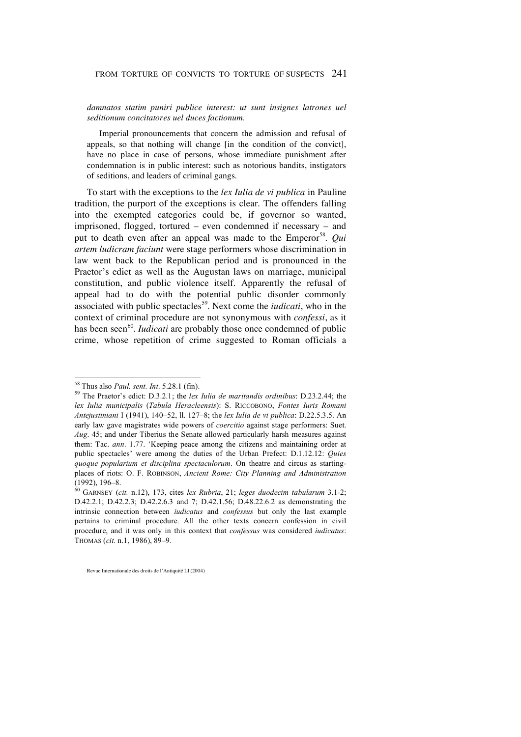*damnatos statim puniri publice interest: ut sunt insignes latrones uel seditionum concitatores uel duces factionum.*

Imperial pronouncements that concern the admission and refusal of appeals, so that nothing will change [in the condition of the convict], have no place in case of persons, whose immediate punishment after condemnation is in public interest: such as notorious bandits, instigators of seditions, and leaders of criminal gangs.

To start with the exceptions to the *lex Iulia de vi publica* in Pauline tradition, the purport of the exceptions is clear. The offenders falling into the exempted categories could be, if governor so wanted, imprisoned, flogged, tortured – even condemned if necessary – and put to death even after an appeal was made to the Emperor 58 . *Qui artem ludicram faciunt* were stage performers whose discrimination in law went back to the Republican period and is pronounced in the Praetor's edict as well as the Augustan laws on marriage, municipal constitution, and public violence itself. Apparently the refusal of appeal had to do with the potential public disorder commonly associated with public spectacles<sup>59</sup>. Next come the *iudicati*, who in the context of criminal procedure are not synonymous with *confessi*, as it has been seen<sup>60</sup>. *Iudicati* are probably those once condemned of public crime, whose repetition of crime suggested to Roman officials a

<sup>58</sup> Thus also *Paul. sent. Int*. 5.28.1 (fin).

<sup>59</sup> The Praetor's edict: D.3.2.1; the *lex Iulia de maritandis ordinibus*: D.23.2.44; the *lex Iulia municipalis* (*Tabula Heracleensis*): S. RICCOBONO, *Fontes Iuris Romani Antejustiniani* I (1941), 140–52, ll. 127–8; the *lex Iulia de vi publica*: D.22.5.3.5. An early law gave magistrates wide powers of *coercitio* against stage performers: Suet. *Aug*. 45; and under Tiberius the Senate allowed particularly harsh measures against them: Tac. *ann*. 1.77. 'Keeping peace among the citizens and maintaining order at public spectacles' were among the duties of the Urban Prefect: D.1.12.12: *Quies quoque popularium et disciplina spectaculorum*. On theatre and circus as startingplaces of riots: O. F. ROBINSON, *Ancient Rome: City Planning and Administration* (1992), 196–8.

<sup>60</sup> GARNSEY (*cit.* n.12), 173, cites *lex Rubria*, 21; *leges duodecim tabularum* 3.1-2; D.42.2.1; D.42.2.3; D.42.2.6.3 and 7; D.42.1.56; D.48.22.6.2 as demonstrating the intrinsic connection between *iudicatus* and *confessus* but only the last example pertains to criminal procedure. All the other texts concern confession in civil procedure, and it was only in this context that *confessus* was considered *iudicatus*: THOMAS (*cit.* n.1, 1986), 89–9.

Revue Internationale des droits de l'Antiquité LI (2004)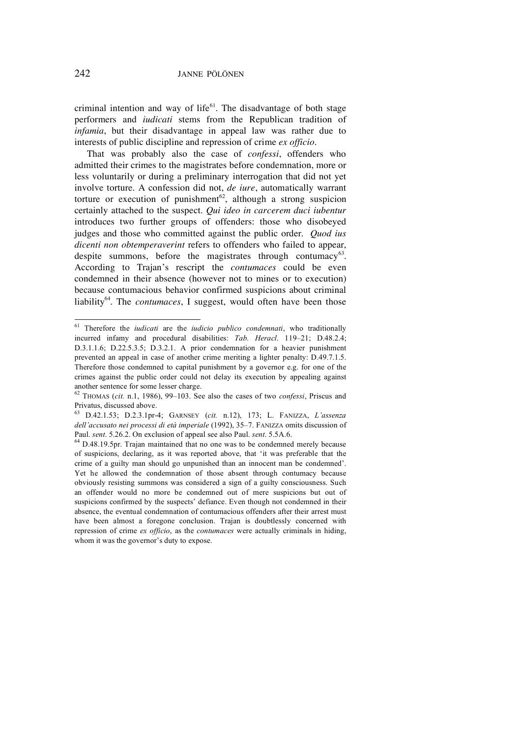criminal intention and way of life<sup>61</sup>. The disadvantage of both stage performers and *iudicati* stems from the Republican tradition of *infamia*, but their disadvantage in appeal law was rather due to interests of public discipline and repression of crime *ex officio*.

That was probably also the case of *confessi*, offenders who admitted their crimes to the magistrates before condemnation, more or less voluntarily or during a preliminary interrogation that did not yet involve torture. A confession did not, *de iure*, automatically warrant torture or execution of punishment<sup>62</sup>, although a strong suspicion certainly attached to the suspect. *Qui ideo in carcerem duci iubentur* introduces two further groups of offenders: those who disobeyed judges and those who committed against the public order. *Quod ius dicenti non obtemperaverint* refers to offenders who failed to appear, despite summons, before the magistrates through contumacy<sup>63</sup>. According to Trajan's rescript the *contumaces* could be even condemned in their absence (however not to mines or to execution) because contumacious behavior confirmed suspicions about criminal liability<sup>64</sup>. The *contumaces*, I suggest, would often have been those

<sup>61</sup> Therefore the *iudicati* are the *iudicio publico condemnati*, who traditionally incurred infamy and procedural disabilities: *Tab. Heracl*. 119–21; D.48.2.4; D.3.1.1.6; D.22.5.3.5; D.3.2.1. A prior condemnation for a heavier punishment prevented an appeal in case of another crime meriting a lighter penalty: D.49.7.1.5. Therefore those condemned to capital punishment by a governor e.g. for one of the crimes against the public order could not delay its execution by appealing against another sentence for some lesser charge.

<sup>62</sup> THOMAS (*cit.* n.1, 1986), 99–103. See also the cases of two *confessi*, Priscus and Privatus, discussed above.

<sup>63</sup> D.42.1.53; D.2.3.1pr-4; GARNSEY (*cit.* n.12), 173; L. FANIZZA, *L'assenza dell'accusato nei processi di età imperiale* (1992), 35–7. FANIZZA omits discussion of Paul. *sent*. 5.26.2. On exclusion of appeal see also Paul. *sent*. 5.5A.6.

<sup>64</sup> D.48.19.5pr. Trajan maintained that no one was to be condemned merely because of suspicions, declaring, as it was reported above, that 'it was preferable that the crime of a guilty man should go unpunished than an innocent man be condemned'. Yet he allowed the condemnation of those absent through contumacy because obviously resisting summons was considered a sign of a guilty consciousness. Such an offender would no more be condemned out of mere suspicions but out of suspicions confirmed by the suspects' defiance. Even though not condemned in their absence, the eventual condemnation of contumacious offenders after their arrest must have been almost a foregone conclusion. Trajan is doubtlessly concerned with repression of crime *ex officio*, as the *contumaces* were actually criminals in hiding, whom it was the governor's duty to expose.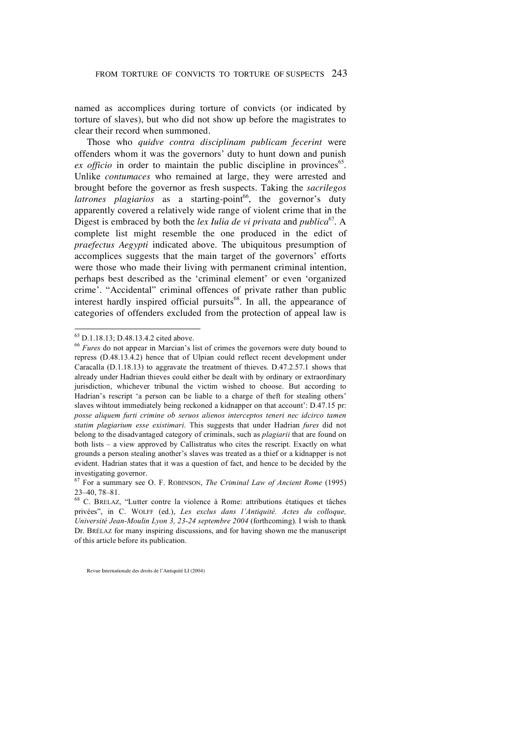named as accomplices during torture of convicts (or indicated by torture of slaves), but who did not show up before the magistrates to clear their record when summoned.

Those who *quidve contra disciplinam publicam fecerint* were offenders whom it was the governors' duty to hunt down and punish ex officio in order to maintain the public discipline in provinces<sup>65</sup>. Unlike *contumaces* who remained at large, they were arrested and brought before the governor as fresh suspects. Taking the *sacrilegos latrones plagiarios* as a starting-point 66 , the governor's duty apparently covered a relatively wide range of violent crime that in the Digest is embraced by both the *lex Iulia de vi privata* and *publica*<sup>67</sup>. A complete list might resemble the one produced in the edict of *praefectus Aegypti* indicated above. The ubiquitous presumption of accomplices suggests that the main target of the governors' efforts were those who made their living with permanent criminal intention, perhaps best described as the 'criminal element' or even 'organized crime'. "Accidental" criminal offences of private rather than public interest hardly inspired official pursuits 68 . In all, the appearance of categories of offenders excluded from the protection of appeal law is

<sup>65</sup> D.1.18.13; D.48.13.4.2 cited above.

<sup>66</sup> *Fures* do not appear in Marcian's list of crimes the governors were duty bound to repress (D.48.13.4.2) hence that of Ulpian could reflect recent development under Caracalla (D.1.18.13) to aggravate the treatment of thieves. D.47.2.57.1 shows that already under Hadrian thieves could either be dealt with by ordinary or extraordinary jurisdiction, whichever tribunal the victim wished to choose. But according to Hadrian's rescript 'a person can be liable to a charge of theft for stealing others' slaves wihtout immediately being reckoned a kidnapper on that account': D.47.15 pr: *posse aliquem furti crimine ob seruos alienos interceptos teneri nec idcirco tamen statim plagiarium esse existimari*. This suggests that under Hadrian *fures* did not belong to the disadvantaged category of criminals, such as *plagiarii* that are found on both lists – a view approved by Callistratus who cites the rescript. Exactly on what grounds a person stealing another's slaves was treated as a thief or a kidnapper is not evident. Hadrian states that it was a question of fact, and hence to be decided by the investigating governor.

<sup>67</sup> For a summary see O. F. ROBINSON, *The Criminal Law of Ancient Rome* (1995) 23–40, 78–81.

<sup>68</sup> C. BRELAZ, "Lutter contre la violence à Rome: attributions étatiques et tâches privées", in C. WOLFF (ed.), *Les exclus dans l'Antiquité. Actes du colloque, Université Jean-Moulin Lyon 3, 23-24 septembre 2004* (forthcoming). I wish to thank Dr. BRÉLAZ for many inspiring discussions, and for having shown me the manuscript of this article before its publication.

Revue Internationale des droits de l'Antiquité LI (2004)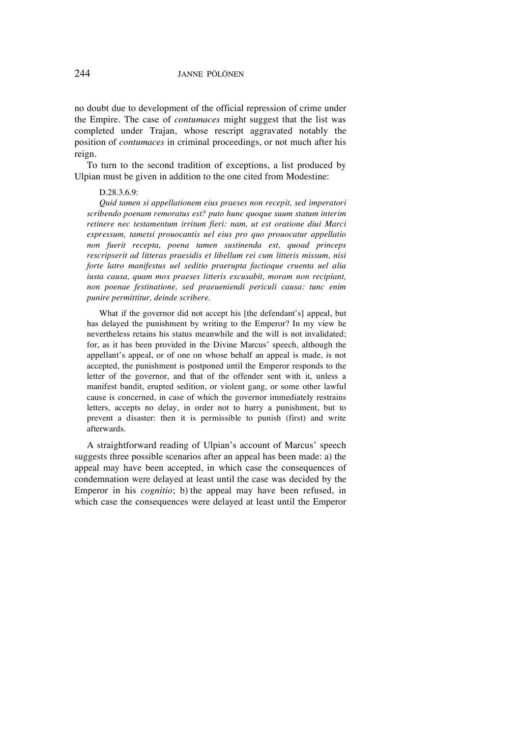no doubt due to development of the official repression of crime under the Empire. The case of *contumaces* might suggest that the list was completed under Trajan, whose rescript aggravated notably the position of *contumaces* in criminal proceedings, or not much after his reign.

To turn to the second tradition of exceptions, a list produced by Ulpian must be given in addition to the one cited from Modestine:

#### D.28.3.6.9:

*Quid tamen si appellationem eius praeses non recepit, sed imperatori scribendo poenam remoratus est? puto hunc quoque suum statum interim retinere nec testamentum irritum fieri: nam, ut est oratione diui Marci expressum, tametsi prouocantis uel eius pro quo prouocatur appellatio non fuerit recepta, poena tamen sustinenda est, quoad princeps rescripserit ad litteras praesidis et libellum rei cum litteris missum, nisi forte latro manifestus uel seditio praerupta factioque cruenta uel alia iusta causa, quam mox praeses litteris excusabit, moram non recipiant, non poenae festinatione, sed praeueniendi periculi causa: tunc enim punire permittitur, deinde scribere.*

What if the governor did not accept his [the defendant's] appeal, but has delayed the punishment by writing to the Emperor? In my view he nevertheless retains his status meanwhile and the will is not invalidated; for, as it has been provided in the Divine Marcus' speech, although the appellant's appeal, or of one on whose behalf an appeal is made, is not accepted, the punishment is postponed until the Emperor responds to the letter of the governor, and that of the offender sent with it, unless a manifest bandit, erupted sedition, or violent gang, or some other lawful cause is concerned, in case of which the governor immediately restrains letters, accepts no delay, in order not to hurry a punishment, but to prevent a disaster: then it is permissible to punish (first) and write afterwards.

A straightforward reading of Ulpian's account of Marcus' speech suggests three possible scenarios after an appeal has been made: a) the appeal may have been accepted, in which case the consequences of condemnation were delayed at least until the case was decided by the Emperor in his *cognitio*; b) the appeal may have been refused, in which case the consequences were delayed at least until the Emperor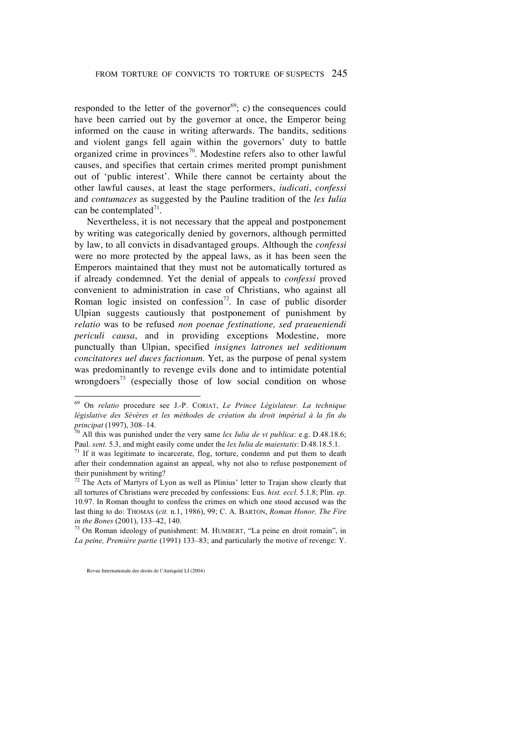responded to the letter of the governor<sup>69</sup>; c) the consequences could have been carried out by the governor at once, the Emperor being informed on the cause in writing afterwards. The bandits, seditions and violent gangs fell again within the governors' duty to battle organized crime in provinces<sup>70</sup>. Modestine refers also to other lawful causes, and specifies that certain crimes merited prompt punishment out of 'public interest'. While there cannot be certainty about the other lawful causes, at least the stage performers, *iudicati*, *confessi* and *contumaces* as suggested by the Pauline tradition of the *lex Iulia* can be contemplated<sup>71</sup>.

Nevertheless, it is not necessary that the appeal and postponement by writing was categorically denied by governors, although permitted by law, to all convicts in disadvantaged groups. Although the *confessi* were no more protected by the appeal laws, as it has been seen the Emperors maintained that they must not be automatically tortured as if already condemned. Yet the denial of appeals to *confessi* proved convenient to administration in case of Christians, who against all Roman logic insisted on confession<sup>72</sup>. In case of public disorder Ulpian suggests cautiously that postponement of punishment by *relatio* was to be refused *non poenae festinatione, sed praeueniendi periculi causa*, and in providing exceptions Modestine, more punctually than Ulpian, specified *insignes latrones uel seditionum concitatores uel duces factionum*. Yet, as the purpose of penal system was predominantly to revenge evils done and to intimidate potential wrongdoers<sup>73</sup> (especially those of low social condition on whose

<sup>73</sup> On Roman ideology of punishment: M. HUMBERT, "La peine en droit romain", in *La peine, Première partie* (1991) 133–83; and particularly the motive of revenge: Y.

Revue Internationale des droits de l'Antiquité LI (2004)

<sup>69</sup> On *relatio* procedure see J.-P. CORIAT, *Le Prince Législateur. La technique législative des Sévères et les méthodes de création du droit impérial à la fin du principat* (1997), 308–14.

<sup>70</sup> All this was punished under the very same *lex Iulia de vi publica*: e.g. D.48.18.6; Paul. *sent*. 5.3, and might easily come under the *lex Iulia de maiestatis*: D.48.18.5.1.

 $71$  If it was legitimate to incarcerate, flog, torture, condemn and put them to death after their condemnation against an appeal, why not also to refuse postponement of their punishment by writing?

 $72$  The Acts of Martyrs of Lyon as well as Plinius' letter to Trajan show clearly that all tortures of Christians were preceded by confessions: Eus. *hist. eccl*. 5.1.8; Plin. *ep*. 10.97. In Roman thought to confess the crimes on which one stood accused was the last thing to do: THOMAS (*cit.* n.1, 1986), 99; C. A. BARTON, *Roman Honor, The Fire in the Bones* (2001), 133–42, 140.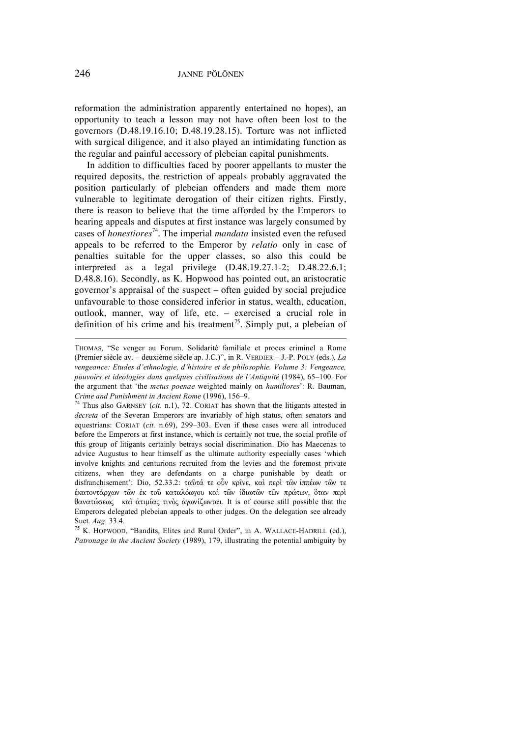246 JANNE PÖLÖNEN

reformation the administration apparently entertained no hopes), an opportunity to teach a lesson may not have often been lost to the governors (D.48.19.16.10; D.48.19.28.15). Torture was not inflicted with surgical diligence, and it also played an intimidating function as the regular and painful accessory of plebeian capital punishments.

In addition to difficulties faced by poorer appellants to muster the required deposits, the restriction of appeals probably aggravated the position particularly of plebeian offenders and made them more vulnerable to legitimate derogation of their citizen rights. Firstly, there is reason to believe that the time afforded by the Emperors to hearing appeals and disputes at first instance was largely consumed by cases of *honestiores*<sup>74</sup> *.* The imperial *mandata* insisted even the refused appeals to be referred to the Emperor by *relatio* only in case of penalties suitable for the upper classes, so also this could be interpreted as a legal privilege (D.48.19.27.1-2; D.48.22.6.1; D.48.8.16). Secondly, as K. Hopwood has pointed out, an aristocratic governor's appraisal of the suspect – often guided by social prejudice unfavourable to those considered inferior in status, wealth, education, outlook, manner, way of life, etc. – exercised a crucial role in definition of his crime and his treatment<sup>75</sup>. Simply put, a plebeian of

THOMAS, "Se venger au Forum. Solidarité familiale et proces criminel a Rome (Premier siècle av. – deuxième siècle ap. J.C.)", in R. VERDIER – J.-P. POLY (eds.), *La vengeance: Etudes d'ethnologie, d'histoire et de philosophie. Volume 3: Vengeance, pouvoirs et ideologies dans quelques civilisations de l'Antiquité* (1984), 65–100. For the argument that 'the *metus poenae* weighted mainly on *humiliores*': R. Bauman, *Crime and Punishment in Ancient Rome* (1996), 156–9.

<sup>74</sup> Thus also GARNSEY (*cit.* n.1), 72. CORIAT has shown that the litigants attested in *decreta* of the Severan Emperors are invariably of high status, often senators and equestrians: CORIAT (*cit.* n.69), 299–303. Even if these cases were all introduced before the Emperors at first instance, which is certainly not true, the social profile of this group of litigants certainly betrays social discrimination. Dio has Maecenas to advice Augustus to hear himself as the ultimate authority especially cases 'which involve knights and centurions recruited from the levies and the foremost private citizens, when they are defendants on a charge punishable by death or disfranchisement': Dio, 52.33.2: ταῦτά τε οὖν κρίνε, καὶ περὶ τῶν ἰππέων τῶν τε έκατοντάρχων τῶν ἐκ τοῦ καταλόωγου καὶ τῶν ἰδιωτῶν τῶν πρώτων, ὃταν περὶ θανατώσεως και άτιμίας τινος άγωνίζωνται. It is of course still possible that the Emperors delegated plebeian appeals to other judges. On the delegation see already Suet. *Aug*. 33.4.

<sup>75</sup> K. HOPWOOD, "Bandits, Elites and Rural Order", in A. WALLACE-HADRILL (ed.), *Patronage in the Ancient Society* (1989), 179, illustrating the potential ambiguity by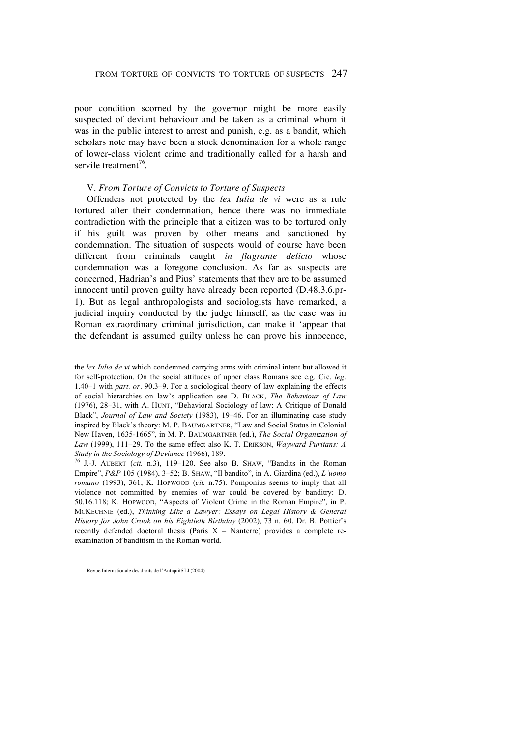poor condition scorned by the governor might be more easily suspected of deviant behaviour and be taken as a criminal whom it was in the public interest to arrest and punish, e.g. as a bandit, which scholars note may have been a stock denomination for a whole range of lower-class violent crime and traditionally called for a harsh and servile treatment<sup>76</sup>.

# V. *From Torture of Convicts to Torture of Suspects*

Offenders not protected by the *lex Iulia de vi* were as a rule tortured after their condemnation, hence there was no immediate contradiction with the principle that a citizen was to be tortured only if his guilt was proven by other means and sanctioned by condemnation. The situation of suspects would of course have been different from criminals caught *in flagrante delicto* whose condemnation was a foregone conclusion. As far as suspects are concerned, Hadrian's and Pius' statements that they are to be assumed innocent until proven guilty have already been reported (D.48.3.6.pr-1). But as legal anthropologists and sociologists have remarked, a judicial inquiry conducted by the judge himself, as the case was in Roman extraordinary criminal jurisdiction, can make it 'appear that the defendant is assumed guilty unless he can prove his innocence,

Revue Internationale des droits de l'Antiquité LI (2004)

the *lex Iulia de vi* which condemned carrying arms with criminal intent but allowed it for self-protection. On the social attitudes of upper class Romans see e.g. Cic. *leg*. 1.40–1 with *part. or*. 90.3–9. For a sociological theory of law explaining the effects of social hierarchies on law's application see D. BLACK, *The Behaviour of Law* (1976), 28–31, with A. HUNT, "Behavioral Sociology of law: A Critique of Donald Black", *Journal of Law and Society* (1983), 19–46. For an illuminating case study inspired by Black's theory: M. P. BAUMGARTNER, "Law and Social Status in Colonial New Haven, 1635-1665", in M. P. BAUMGARTNER (ed.), *The Social Organization of Law* (1999), 111–29. To the same effect also K. T. ERIKSON, *Wayward Puritans: A Study in the Sociology of Deviance* (1966), 189.

<sup>76</sup> J.-J. AUBERT (*cit.* n.3), 119–120. See also B. SHAW, "Bandits in the Roman Empire", *P&P* 105 (1984), 3–52; B. SHAW, "Il bandito", in A. Giardina (ed.), *L'uomo romano* (1993), 361; K. HOPWOOD (*cit.* n.75). Pomponius seems to imply that all violence not committed by enemies of war could be covered by banditry: D. 50.16.118; K. HOPWOOD, "Aspects of Violent Crime in the Roman Empire", in P. MCKECHNIE (ed.), *Thinking Like a Lawyer: Essays on Legal History & General History for John Crook on his Eightieth Birthday* (2002), 73 n. 60. Dr. B. Pottier's recently defended doctoral thesis (Paris  $X -$  Nanterre) provides a complete reexamination of banditism in the Roman world.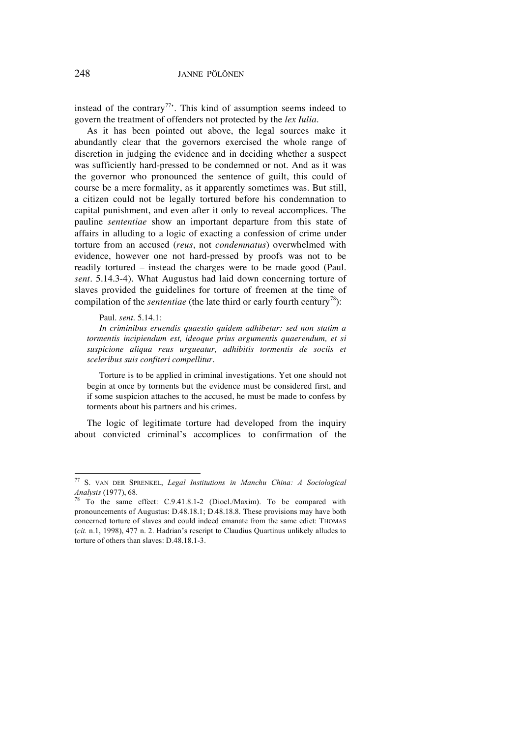instead of the contrary<sup>77</sup>. This kind of assumption seems indeed to govern the treatment of offenders not protected by the *lex Iulia*.

As it has been pointed out above, the legal sources make it abundantly clear that the governors exercised the whole range of discretion in judging the evidence and in deciding whether a suspect was sufficiently hard-pressed to be condemned or not. And as it was the governor who pronounced the sentence of guilt, this could of course be a mere formality, as it apparently sometimes was. But still, a citizen could not be legally tortured before his condemnation to capital punishment, and even after it only to reveal accomplices. The pauline *sententiae* show an important departure from this state of affairs in alluding to a logic of exacting a confession of crime under torture from an accused (*reus*, not *condemnatus*) overwhelmed with evidence, however one not hard-pressed by proofs was not to be readily tortured – instead the charges were to be made good (Paul. *sent.* 5.14.3-4). What Augustus had laid down concerning torture of slaves provided the guidelines for torture of freemen at the time of compilation of the *sententiae* (the late third or early fourth century<sup>78</sup>):

#### Paul. *sent*. 5.14.1:

*In criminibus eruendis quaestio quidem adhibetur: sed non statim a tormentis incipiendum est, ideoque prius argumentis quaerendum, et si suspicione aliqua reus urgueatur, adhibitis tormentis de sociis et sceleribus suis confiteri compellitur.*

Torture is to be applied in criminal investigations. Yet one should not begin at once by torments but the evidence must be considered first, and if some suspicion attaches to the accused, he must be made to confess by torments about his partners and his crimes.

The logic of legitimate torture had developed from the inquiry about convicted criminal's accomplices to confirmation of the

<sup>77</sup> S. VAN DER SPRENKEL, *Legal Institutions in Manchu China: <sup>A</sup> Sociological Analysis* (1977), 68.

To the same effect: C.9.41.8.1-2 (Diocl./Maxim). To be compared with pronouncements of Augustus: D.48.18.1; D.48.18.8. These provisions may have both concerned torture of slaves and could indeed emanate from the same edict: THOMAS (*cit.* n.1, 1998), 477 n. 2. Hadrian's rescript to Claudius Quartinus unlikely alludes to torture of others than slaves: D.48.18.1-3.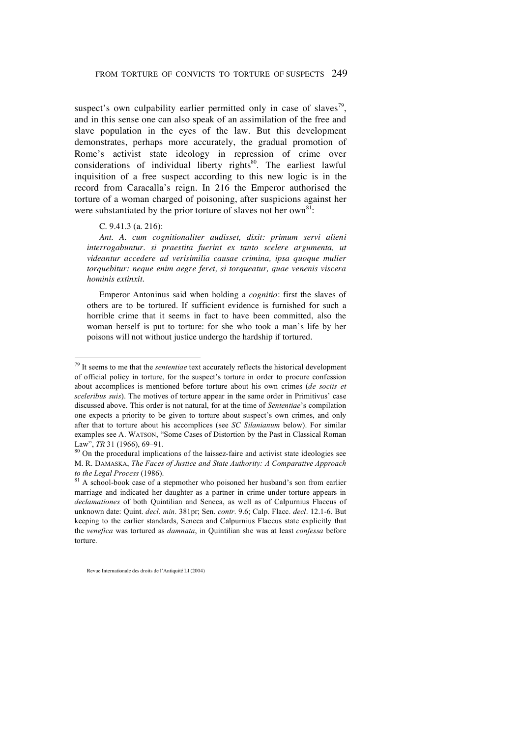suspect's own culpability earlier permitted only in case of slaves<sup>79</sup>, and in this sense one can also speak of an assimilation of the free and slave population in the eyes of the law. But this development demonstrates, perhaps more accurately, the gradual promotion of Rome's activist state ideology in repression of crime over considerations of individual liberty rights 80 . The earliest lawful inquisition of a free suspect according to this new logic is in the record from Caracalla's reign. In 216 the Emperor authorised the torture of a woman charged of poisoning, after suspicions against her were substantiated by the prior torture of slaves not her own $81$ :

#### C. 9.41.3 (a. 216):

*Ant. A. cum cognitionaliter audisset, dixit: primum servi alieni interrogabuntur. si praestita fuerint ex tanto scelere argumenta, ut videantur accedere ad verisimilia causae crimina, ipsa quoque mulier torquebitur: neque enim aegre feret, si torqueatur, quae venenis viscera hominis extinxit.*

Emperor Antoninus said when holding a *cognitio*: first the slaves of others are to be tortured. If sufficient evidence is furnished for such a horrible crime that it seems in fact to have been committed, also the woman herself is put to torture: for she who took a man's life by her poisons will not without justice undergo the hardship if tortured.

<sup>79</sup> It seems to me that the *sententiae* text accurately reflects the historical development of official policy in torture, for the suspect's torture in order to procure confession about accomplices is mentioned before torture about his own crimes (*de sociis et sceleribus suis*). The motives of torture appear in the same order in Primitivus' case discussed above. This order is not natural, for at the time of *Sententiae*'s compilation one expects a priority to be given to torture about suspect's own crimes, and only after that to torture about his accomplices (see *SC Silanianum* below). For similar examples see A. WATSON, "Some Cases of Distortion by the Past in Classical Roman Law", *TR* 31 (1966), 69-91.

<sup>&</sup>lt;sup>80</sup> On the procedural implications of the laissez-faire and activist state ideologies see M. R. DAMASKA, *The Faces of Justice and State Authority: A Comparative Approach to the Legal Process* (1986).

 $81$  A school-book case of a stepmother who poisoned her husband's son from earlier marriage and indicated her daughter as a partner in crime under torture appears in *declamationes* of both Quintilian and Seneca, as well as of Calpurnius Flaccus of unknown date: Quint. *decl. min*. 381pr; Sen. *contr*. 9.6; Calp. Flacc. *decl*. 12.1-6. But keeping to the earlier standards, Seneca and Calpurnius Flaccus state explicitly that the *venefica* was tortured as *damnata*, in Quintilian she was at least *confessa* before torture.

Revue Internationale des droits de l'Antiquité LI (2004)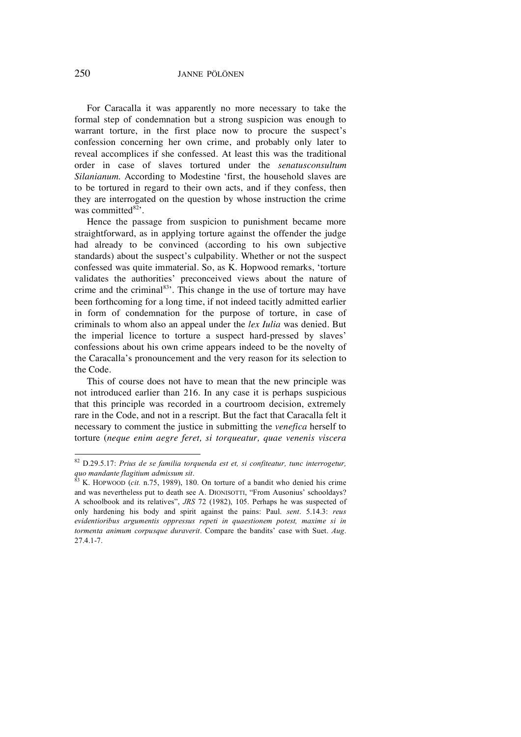For Caracalla it was apparently no more necessary to take the formal step of condemnation but a strong suspicion was enough to warrant torture, in the first place now to procure the suspect's confession concerning her own crime, and probably only later to reveal accomplices if she confessed. At least this was the traditional order in case of slaves tortured under the *senatusconsultum Silanianum*. According to Modestine 'first, the household slaves are to be tortured in regard to their own acts, and if they confess, then they are interrogated on the question by whose instruction the crime was committed<sup>82</sup>'.

Hence the passage from suspicion to punishment became more straightforward, as in applying torture against the offender the judge had already to be convinced (according to his own subjective standards) about the suspect's culpability. Whether or not the suspect confessed was quite immaterial. So, as K. Hopwood remarks, 'torture validates the authorities' preconceived views about the nature of crime and the criminal<sup>83</sup>. This change in the use of torture may have been forthcoming for a long time, if not indeed tacitly admitted earlier in form of condemnation for the purpose of torture, in case of criminals to whom also an appeal under the *lex Iulia* was denied. But the imperial licence to torture a suspect hard-pressed by slaves' confessions about his own crime appears indeed to be the novelty of the Caracalla's pronouncement and the very reason for its selection to the Code.

This of course does not have to mean that the new principle was not introduced earlier than 216. In any case it is perhaps suspicious that this principle was recorded in a courtroom decision, extremely rare in the Code, and not in a rescript. But the fact that Caracalla felt it necessary to comment the justice in submitting the *venefica* herself to torture (*neque enim aegre feret, si torqueatur, quae venenis viscera*

<sup>82</sup> D.29.5.17: *Prius de se familia torquenda est et, si confiteatur, tunc interrogetur, quo mandante flagitium admissum sit*.

<sup>&</sup>lt;sup>3</sup> K. HOPWOOD (*cit.* n.75, 1989), 180. On torture of a bandit who denied his crime and was nevertheless put to death see A. DIONISOTTI, "From Ausonius' schooldays? A schoolbook and its relatives", *JRS* 72 (1982), 105. Perhaps he was suspected of only hardening his body and spirit against the pains: Paul. *sent*. 5.14.3: *reus evidentioribus argumentis oppressus repeti in quaestionem potest, maxime si in tormenta animum corpusque duraverit*. Compare the bandits' case with Suet. *Aug*. 27.4.1-7.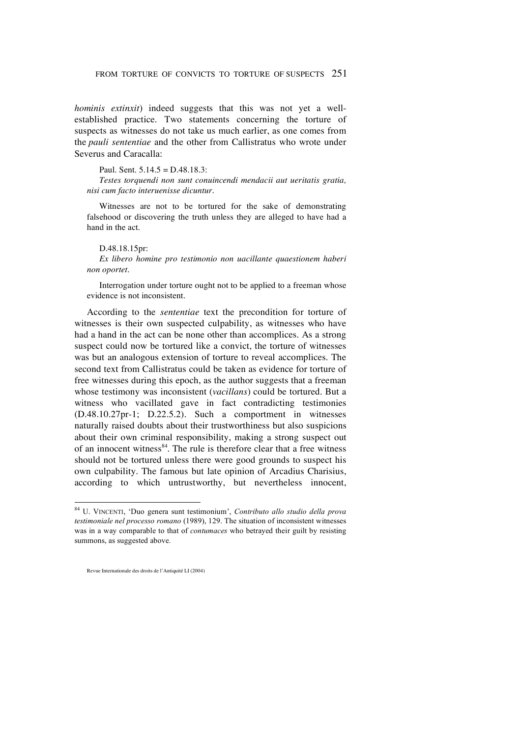*hominis extinxit*) indeed suggests that this was not yet a wellestablished practice. Two statements concerning the torture of suspects as witnesses do not take us much earlier, as one comes from the *pauli sententiae* and the other from Callistratus who wrote under Severus and Caracalla:

#### Paul. Sent. 5.14.5 = D.48.18.3:

*Testes torquendi non sunt conuincendi mendacii aut ueritatis gratia, nisi cum facto interuenisse dicuntur.*

Witnesses are not to be tortured for the sake of demonstrating falsehood or discovering the truth unless they are alleged to have had a hand in the act.

#### D.48.18.15pr:

*Ex libero homine pro testimonio non uacillante quaestionem haberi non oportet.*

Interrogation under torture ought not to be applied to a freeman whose evidence is not inconsistent.

According to the *sententiae* text the precondition for torture of witnesses is their own suspected culpability, as witnesses who have had a hand in the act can be none other than accomplices. As a strong suspect could now be tortured like a convict, the torture of witnesses was but an analogous extension of torture to reveal accomplices. The second text from Callistratus could be taken as evidence for torture of free witnesses during this epoch, as the author suggests that a freeman whose testimony was inconsistent (*vacillans*) could be tortured. But a witness who vacillated gave in fact contradicting testimonies (D.48.10.27pr-1; D.22.5.2). Such a comportment in witnesses naturally raised doubts about their trustworthiness but also suspicions about their own criminal responsibility, making a strong suspect out of an innocent witness<sup>84</sup>. The rule is therefore clear that a free witness should not be tortured unless there were good grounds to suspect his own culpability. The famous but late opinion of Arcadius Charisius, according to which untrustworthy, but nevertheless innocent,

<sup>84</sup> U. VINCENTI, 'Duo genera sunt testimonium', *Contributo allo studio della prova testimoniale nel processo romano* (1989), 129. The situation of inconsistent witnesses was in a way comparable to that of *contumaces* who betrayed their guilt by resisting summons, as suggested above.

Revue Internationale des droits de l'Antiquité LI (2004)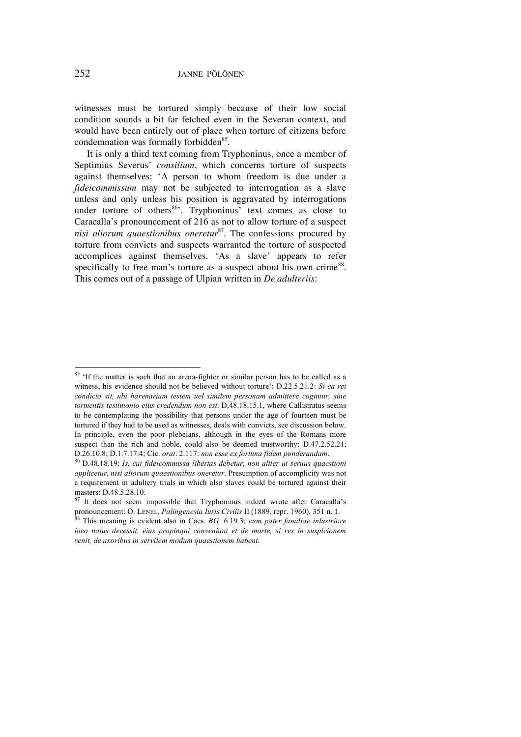witnesses must be tortured simply because of their low social condition sounds a bit far fetched even in the Severan context, and would have been entirely out of place when torture of citizens before condemnation was formally forbidden<sup>85</sup>.

It is only a third text coming from Tryphoninus, once a member of Septimius Severus' *consilium*, which concerns torture of suspects against themselves: 'A person to whom freedom is due under a *fideicommissum* may not be subjected to interrogation as a slave unless and only unless his position is aggravated by interrogations under torture of others<sup>86</sup>. Tryphoninus' text comes as close to Caracalla's pronouncement of 216 as not to allow torture of a suspect *nisi aliorum quaestionibus oneretur* 87 . The confessions procured by torture from convicts and suspects warranted the torture of suspected accomplices against themselves. 'As a slave' appears to refer specifically to free man's torture as a suspect about his own crime<sup>88</sup>. This comes out of a passage of Ulpian written in *De adulteriis*:

<sup>&</sup>lt;sup>85</sup> 'If the matter is such that an arena-fighter or similar person has to be called as a witness, his evidence should not be believed without torture': D.22.5.21.2: *Si ea rei condicio sit, ubi harenarium testem uel similem personam admittere cogimur, sine tormentis testimonio eius credendum non est*. D.48.18.15.1, where Callistratus seems to be contemplating the possibility that persons under the age of fourteen must be tortured if they had to be used as witnesses, deals with convicts, see discussion below. In principle, even the poor plebeians, although in the eyes of the Romans more suspect than the rich and noble, could also be deemed trustworthy: D.47.2.52.21; D.26.10.8; D.1.7.17.4; Cic. *orat*. 2.117: *non esse ex fortuna fidem ponderandam*.

<sup>86</sup> D.48.18.19: *Is, cui fideicommissa libertas debetur, non aliter ut seruus quaestioni applicetur, nisi aliorum quaestionibus oneretur*. Presumption of accomplicity was not a requirement in adultery trials in which also slaves could be tortured against their masters: D.48.5.28.10.

 $87$  It does not seem impossible that Tryphoninus indeed wrote after Caracalla's pronouncement: O. LENEL, *Palingenesia Iuris Civilis* II (1889, repr. 1960), 351 n. 1.

<sup>88</sup> This meaning is evident also in Caes. *BG*. 6.19.3: *cum pater familiae inlustriore loco natus decessit, eius propinqui conveniunt et de morte, si res in suspicionem venit, de uxoribus in servilem modum quaestionem habent*.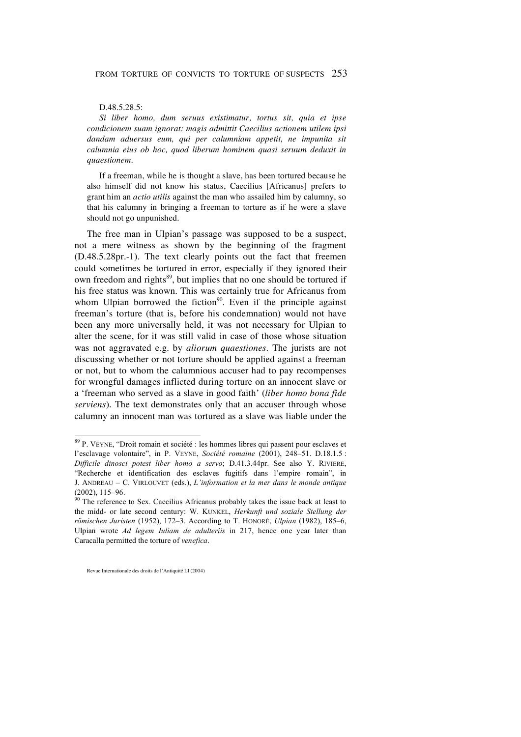#### D.48.5.28.5:

*Si liber homo, dum seruus existimatur, tortus sit, quia et ipse condicionem suam ignorat: magis admittit Caecilius actionem utilem ipsi dandam aduersus eum, qui per calumniam appetit, ne impunita sit calumnia eius ob hoc, quod liberum hominem quasi seruum deduxit in quaestionem.*

If a freeman, while he is thought a slave, has been tortured because he also himself did not know his status, Caecilius [Africanus] prefers to grant him an *actio utilis* against the man who assailed him by calumny, so that his calumny in bringing a freeman to torture as if he were a slave should not go unpunished.

The free man in Ulpian's passage was supposed to be a suspect, not a mere witness as shown by the beginning of the fragment (D.48.5.28pr.-1). The text clearly points out the fact that freemen could sometimes be tortured in error, especially if they ignored their own freedom and rights<sup>89</sup>, but implies that no one should be tortured if his free status was known. This was certainly true for Africanus from whom Ulpian borrowed the fiction<sup>90</sup>. Even if the principle against freeman's torture (that is, before his condemnation) would not have been any more universally held, it was not necessary for Ulpian to alter the scene, for it was still valid in case of those whose situation was not aggravated e.g. by *aliorum quaestiones*. The jurists are not discussing whether or not torture should be applied against a freeman or not, but to whom the calumnious accuser had to pay recompenses for wrongful damages inflicted during torture on an innocent slave or a 'freeman who served as a slave in good faith' (*liber homo bona fide serviens*). The text demonstrates only that an accuser through whose calumny an innocent man was tortured as a slave was liable under the

<sup>89</sup> P. VEYNE, "Droit romain et société : les hommes libres qui passent pour esclaves et l'esclavage volontaire", in P. VEYNE, *Société romaine* (2001), 248–51. D.18.1.5 : *Difficile dinosci potest liber homo a servo*; D.41.3.44pr. See also Y. RIVIERE, "Recherche et identification des esclaves fugitifs dans l'empire romain", in J. ANDREAU – C. VIRLOUVET (eds.), *L'information et la mer dans le monde antique*  $(2002)$ , 115–96.

 $<sup>0</sup>$  The reference to Sex. Caecilius Africanus probably takes the issue back at least to</sup> the midd- or late second century: W. KUNKEL, *Herkunft und soziale Stellung der römischen Juristen* (1952), 172–3. According to T. HONORÉ, *Ulpian* (1982), 185–6, Ulpian wrote *Ad legem Iuliam de adulteriis* in 217, hence one year later than Caracalla permitted the torture of *venefica*.

Revue Internationale des droits de l'Antiquité LI (2004)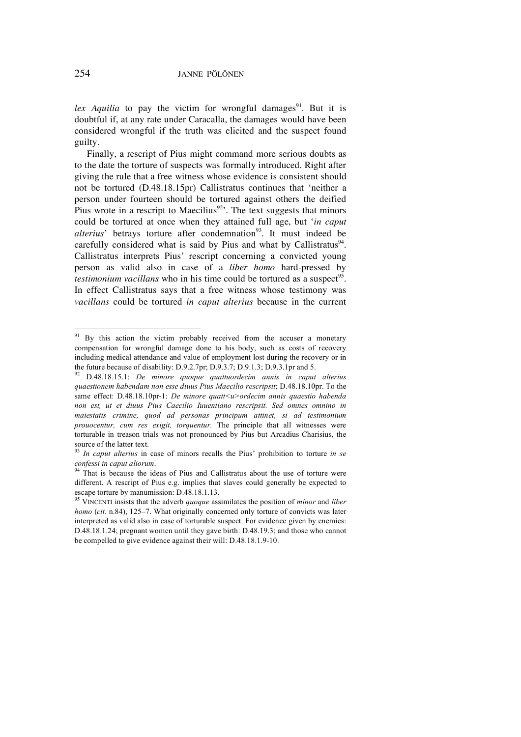lex Aquilia to pay the victim for wrongful damages<sup>91</sup>. But it is doubtful if, at any rate under Caracalla, the damages would have been considered wrongful if the truth was elicited and the suspect found guilty.

Finally, a rescript of Pius might command more serious doubts as to the date the torture of suspects was formally introduced. Right after giving the rule that a free witness whose evidence is consistent should not be tortured (D.48.18.15pr) Callistratus continues that 'neither a person under fourteen should be tortured against others the deified Pius wrote in a rescript to Maecilius<sup>92</sup>. The text suggests that minors could be tortured at once when they attained full age, but '*in caput alterius*' betrays torture after condemnation<sup>93</sup>. It must indeed be carefully considered what is said by Pius and what by Callistratus<sup>94</sup>. Callistratus interprets Pius' rescript concerning a convicted young person as valid also in case of a *liber homo* hard-pressed by *testimonium vacillans* who in his time could be tortured as a suspect<sup>95</sup>. In effect Callistratus says that a free witness whose testimony was *vacillans* could be tortured *in caput alterius* because in the current

<sup>&</sup>lt;sup>91</sup> By this action the victim probably received from the accuser a monetary compensation for wrongful damage done to his body, such as costs of recovery including medical attendance and value of employment lost during the recovery or in the future because of disability: D.9.2.7pr; D.9.3.7; D.9.1.3; D.9.3.1pr and 5.

<sup>92</sup> D.48.18.15.1: *De minore quoque quattuordecim annis in caput alterius quaestionem habendam non esse diuus Pius Maecilio rescripsit*; D.48.18.10pr. To the same effect: D.48.18.10pr-1: *De minore quatt* $\lt u$ >ordecim *annis quaestio habenda non est, ut et diuus Pius Caecilio Iuuentiano rescripsit. Sed omnes omnino in maiestatis crimine, quod ad personas principum attinet, si ad testimonium prouocentur, cum res exigit, torquentur.* The principle that all witnesses were torturable in treason trials was not pronounced by Pius but Arcadius Charisius, the source of the latter text.

<sup>93</sup> *In caput alterius* in case of minors recalls the Pius' prohibition to torture *in se confessi in caput aliorum*.

<sup>&</sup>lt;sup>94</sup> That is because the ideas of Pius and Callistratus about the use of torture were different. A rescript of Pius e.g. implies that slaves could generally be expected to escape torture by manumission: D.48.18.1.13.

<sup>95</sup> VINCENTI insists that the adverb *quoque* assimilates the position of *minor* and *liber homo* (*cit.* n.84), 125–7. What originally concerned only torture of convicts was later interpreted as valid also in case of torturable suspect. For evidence given by enemies: D.48.18.1.24; pregnant women until they gave birth: D.48.19.3; and those who cannot be compelled to give evidence against their will: D.48.18.1.9-10.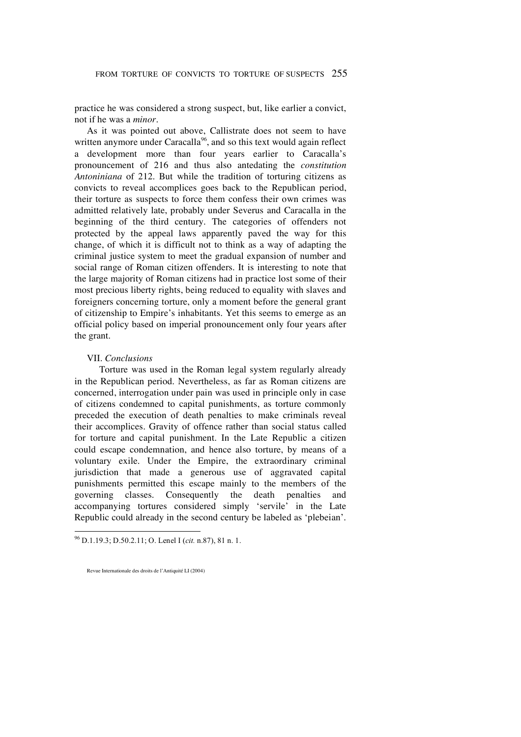practice he was considered a strong suspect, but, like earlier a convict, not if he was a *minor*.

As it was pointed out above, Callistrate does not seem to have written anymore under Caracalla<sup>96</sup>, and so this text would again reflect a development more than four years earlier to Caracalla's pronouncement of 216 and thus also antedating the *constitution Antoniniana* of 212. But while the tradition of torturing citizens as convicts to reveal accomplices goes back to the Republican period, their torture as suspects to force them confess their own crimes was admitted relatively late, probably under Severus and Caracalla in the beginning of the third century. The categories of offenders not protected by the appeal laws apparently paved the way for this change, of which it is difficult not to think as a way of adapting the criminal justice system to meet the gradual expansion of number and social range of Roman citizen offenders. It is interesting to note that the large majority of Roman citizens had in practice lost some of their most precious liberty rights, being reduced to equality with slaves and foreigners concerning torture, only a moment before the general grant of citizenship to Empire's inhabitants. Yet this seems to emerge as an official policy based on imperial pronouncement only four years after the grant.

## VII. *Conclusions*

Torture was used in the Roman legal system regularly already in the Republican period. Nevertheless, as far as Roman citizens are concerned, interrogation under pain was used in principle only in case of citizens condemned to capital punishments, as torture commonly preceded the execution of death penalties to make criminals reveal their accomplices. Gravity of offence rather than social status called for torture and capital punishment. In the Late Republic a citizen could escape condemnation, and hence also torture, by means of a voluntary exile. Under the Empire, the extraordinary criminal jurisdiction that made a generous use of aggravated capital punishments permitted this escape mainly to the members of the governing classes. Consequently the death penalties and accompanying tortures considered simply 'servile' in the Late Republic could already in the second century be labeled as 'plebeian'.

<sup>96</sup> D.1.19.3; D.50.2.11; O. Lenel <sup>I</sup> (*cit.* n.87), <sup>81</sup> n. 1.

Revue Internationale des droits de l'Antiquité LI (2004)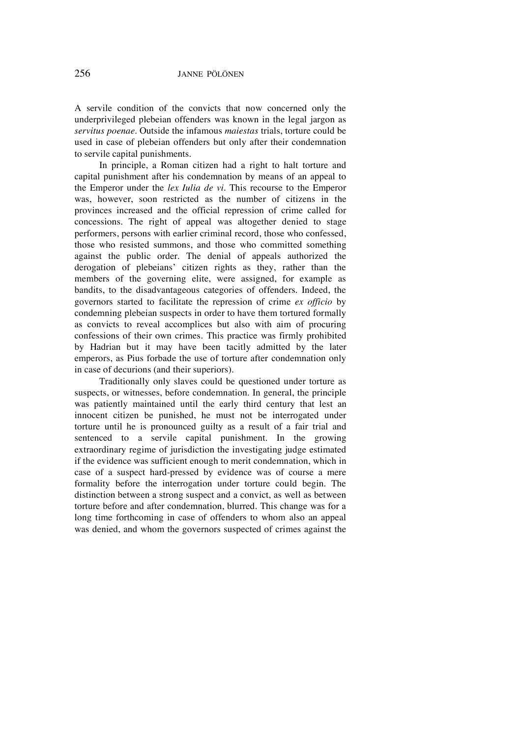A servile condition of the convicts that now concerned only the underprivileged plebeian offenders was known in the legal jargon as *servitus poenae*. Outside the infamous *maiestas* trials, torture could be used in case of plebeian offenders but only after their condemnation to servile capital punishments.

In principle, a Roman citizen had a right to halt torture and capital punishment after his condemnation by means of an appeal to the Emperor under the *lex Iulia de vi*. This recourse to the Emperor was, however, soon restricted as the number of citizens in the provinces increased and the official repression of crime called for concessions. The right of appeal was altogether denied to stage performers, persons with earlier criminal record, those who confessed, those who resisted summons, and those who committed something against the public order. The denial of appeals authorized the derogation of plebeians' citizen rights as they, rather than the members of the governing elite, were assigned, for example as bandits, to the disadvantageous categories of offenders. Indeed, the governors started to facilitate the repression of crime *ex officio* by condemning plebeian suspects in order to have them tortured formally as convicts to reveal accomplices but also with aim of procuring confessions of their own crimes. This practice was firmly prohibited by Hadrian but it may have been tacitly admitted by the later emperors, as Pius forbade the use of torture after condemnation only in case of decurions (and their superiors).

Traditionally only slaves could be questioned under torture as suspects, or witnesses, before condemnation. In general, the principle was patiently maintained until the early third century that lest an innocent citizen be punished, he must not be interrogated under torture until he is pronounced guilty as a result of a fair trial and sentenced to a servile capital punishment. In the growing extraordinary regime of jurisdiction the investigating judge estimated if the evidence was sufficient enough to merit condemnation, which in case of a suspect hard-pressed by evidence was of course a mere formality before the interrogation under torture could begin. The distinction between a strong suspect and a convict, as well as between torture before and after condemnation, blurred. This change was for a long time forthcoming in case of offenders to whom also an appeal was denied, and whom the governors suspected of crimes against the